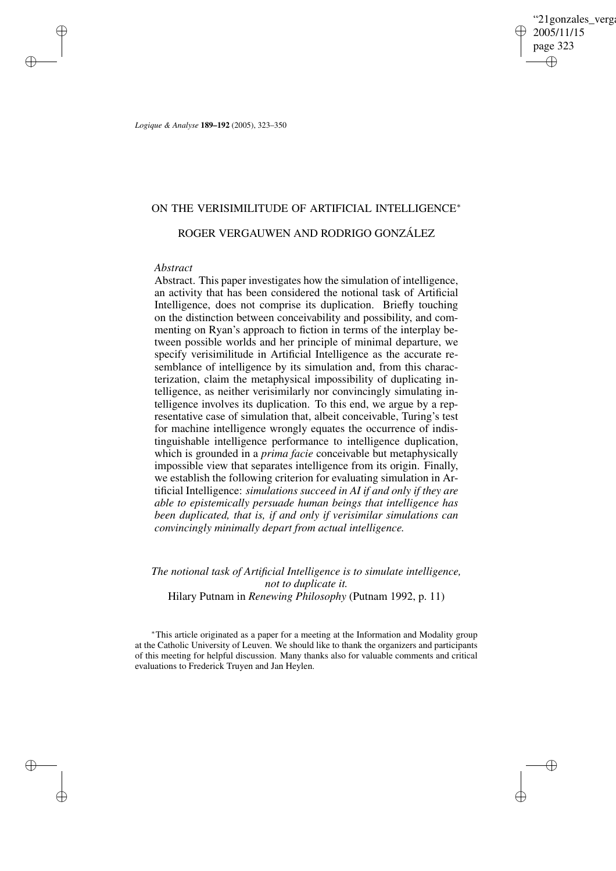"21gonzales\_verga 2005/11/15 page 323 ✐ ✐

✐

✐

*Logique & Analyse* **189–192** (2005), 323–350

# ON THE VERISIMILITUDE OF ARTIFICIAL INTELLIGENCE<sup>∗</sup>

## ROGER VERGAUWEN AND RODRIGO GONZÁLEZ

## *Abstract*

✐

✐

✐

✐

Abstract. This paper investigates how the simulation of intelligence, an activity that has been considered the notional task of Artificial Intelligence, does not comprise its duplication. Briefly touching on the distinction between conceivability and possibility, and commenting on Ryan's approach to fiction in terms of the interplay between possible worlds and her principle of minimal departure, we specify verisimilitude in Artificial Intelligence as the accurate resemblance of intelligence by its simulation and, from this characterization, claim the metaphysical impossibility of duplicating intelligence, as neither verisimilarly nor convincingly simulating intelligence involves its duplication. To this end, we argue by a representative case of simulation that, albeit conceivable, Turing's test for machine intelligence wrongly equates the occurrence of indistinguishable intelligence performance to intelligence duplication, which is grounded in a *prima facie* conceivable but metaphysically impossible view that separates intelligence from its origin. Finally, we establish the following criterion for evaluating simulation in Artificial Intelligence: *simulations succeed in AI if and only if they are able to epistemically persuade human beings that intelligence has been duplicated, that is, if and only if verisimilar simulations can convincingly minimally depart from actual intelligence.*

*The notional task of Artificial Intelligence is to simulate intelligence, not to duplicate it.* Hilary Putnam in *Renewing Philosophy* (Putnam 1992, p. 11)

<sup>∗</sup>This article originated as a paper for a meeting at the Information and Modality group at the Catholic University of Leuven. We should like to thank the organizers and participants of this meeting for helpful discussion. Many thanks also for valuable comments and critical evaluations to Frederick Truyen and Jan Heylen.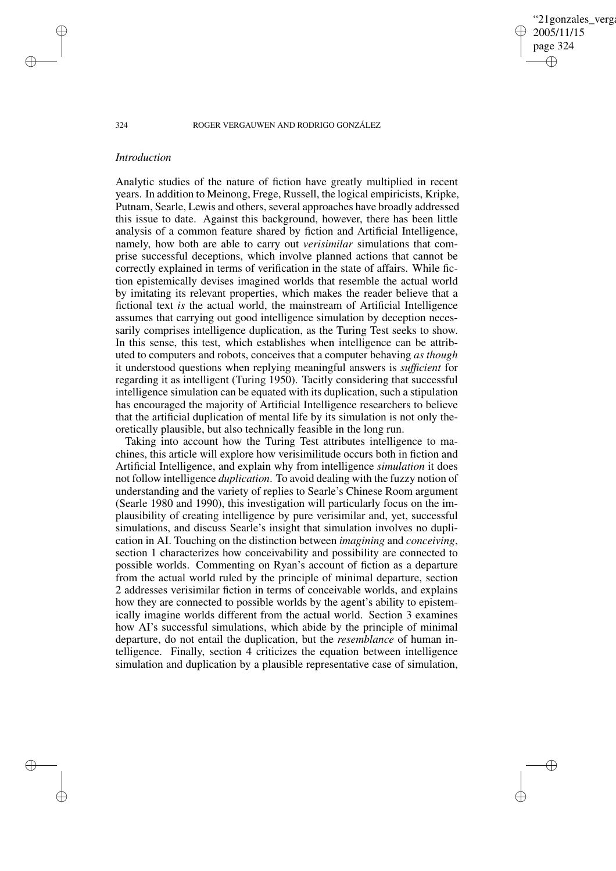'21gonzales\_verga 2005/11/15 page 324 ✐ ✐

✐

✐

### 324 ROGER VERGAUWEN AND RODRIGO GONZÁLEZ

## *Introduction*

Analytic studies of the nature of fiction have greatly multiplied in recent years. In addition to Meinong, Frege, Russell, the logical empiricists, Kripke, Putnam, Searle, Lewis and others, several approaches have broadly addressed this issue to date. Against this background, however, there has been little analysis of a common feature shared by fiction and Artificial Intelligence, namely, how both are able to carry out *verisimilar* simulations that comprise successful deceptions, which involve planned actions that cannot be correctly explained in terms of verification in the state of affairs. While fiction epistemically devises imagined worlds that resemble the actual world by imitating its relevant properties, which makes the reader believe that a fictional text *is* the actual world, the mainstream of Artificial Intelligence assumes that carrying out good intelligence simulation by deception necessarily comprises intelligence duplication, as the Turing Test seeks to show. In this sense, this test, which establishes when intelligence can be attributed to computers and robots, conceives that a computer behaving *as though* it understood questions when replying meaningful answers is *sufficient* for regarding it as intelligent (Turing 1950). Tacitly considering that successful intelligence simulation can be equated with its duplication, such a stipulation has encouraged the majority of Artificial Intelligence researchers to believe that the artificial duplication of mental life by its simulation is not only theoretically plausible, but also technically feasible in the long run.

Taking into account how the Turing Test attributes intelligence to machines, this article will explore how verisimilitude occurs both in fiction and Artificial Intelligence, and explain why from intelligence *simulation* it does not follow intelligence *duplication*. To avoid dealing with the fuzzy notion of understanding and the variety of replies to Searle's Chinese Room argument (Searle 1980 and 1990), this investigation will particularly focus on the implausibility of creating intelligence by pure verisimilar and, yet, successful simulations, and discuss Searle's insight that simulation involves no duplication in AI. Touching on the distinction between *imagining* and *conceiving*, section 1 characterizes how conceivability and possibility are connected to possible worlds. Commenting on Ryan's account of fiction as a departure from the actual world ruled by the principle of minimal departure, section 2 addresses verisimilar fiction in terms of conceivable worlds, and explains how they are connected to possible worlds by the agent's ability to epistemically imagine worlds different from the actual world. Section 3 examines how AI's successful simulations, which abide by the principle of minimal departure, do not entail the duplication, but the *resemblance* of human intelligence. Finally, section 4 criticizes the equation between intelligence simulation and duplication by a plausible representative case of simulation,

✐

✐

✐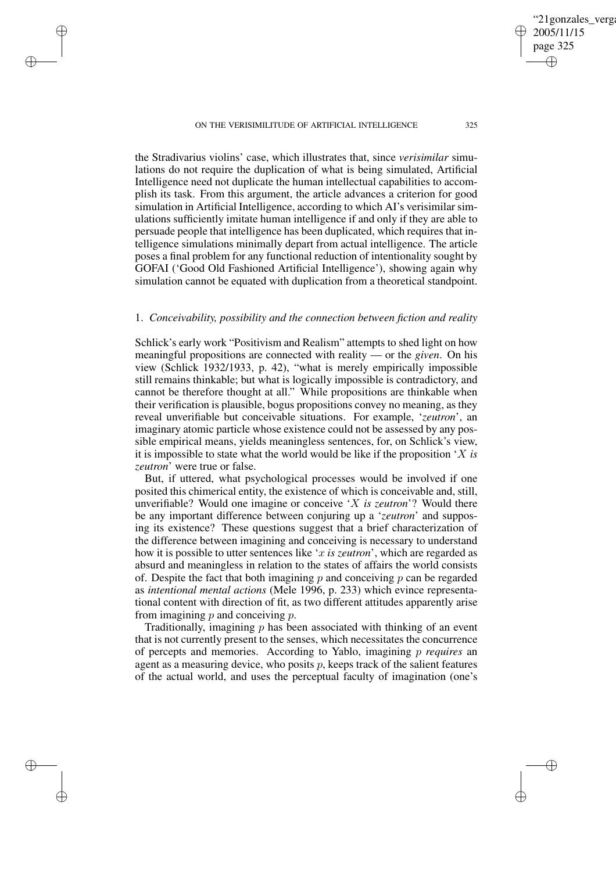✐

✐

✐

✐

the Stradivarius violins' case, which illustrates that, since *verisimilar* simulations do not require the duplication of what is being simulated, Artificial Intelligence need not duplicate the human intellectual capabilities to accomplish its task. From this argument, the article advances a criterion for good simulation in Artificial Intelligence, according to which AI's verisimilar simulations sufficiently imitate human intelligence if and only if they are able to persuade people that intelligence has been duplicated, which requires that intelligence simulations minimally depart from actual intelligence. The article poses a final problem for any functional reduction of intentionality sought by GOFAI ('Good Old Fashioned Artificial Intelligence'), showing again why simulation cannot be equated with duplication from a theoretical standpoint.

## 1. *Conceivability, possibility and the connection between fiction and reality*

Schlick's early work "Positivism and Realism" attempts to shed light on how meaningful propositions are connected with reality — or the *given*. On his view (Schlick 1932/1933, p. 42), "what is merely empirically impossible still remains thinkable; but what is logically impossible is contradictory, and cannot be therefore thought at all." While propositions are thinkable when their verification is plausible, bogus propositions convey no meaning, as they reveal unverifiable but conceivable situations. For example, '*zeutron*', an imaginary atomic particle whose existence could not be assessed by any possible empirical means, yields meaningless sentences, for, on Schlick's view, it is impossible to state what the world would be like if the proposition 'X *is zeutron*' were true or false.

But, if uttered, what psychological processes would be involved if one posited this chimerical entity, the existence of which is conceivable and, still, unverifiable? Would one imagine or conceive 'X *is zeutron*'? Would there be any important difference between conjuring up a '*zeutron*' and supposing its existence? These questions suggest that a brief characterization of the difference between imagining and conceiving is necessary to understand how it is possible to utter sentences like 'x *is zeutron*', which are regarded as absurd and meaningless in relation to the states of affairs the world consists of. Despite the fact that both imagining  $p$  and conceiving  $p$  can be regarded as *intentional mental actions* (Mele 1996, p. 233) which evince representational content with direction of fit, as two different attitudes apparently arise from imagining  $p$  and conceiving  $p$ .

Traditionally, imagining  $p$  has been associated with thinking of an event that is not currently present to the senses, which necessitates the concurrence of percepts and memories. According to Yablo, imagining p *requires* an agent as a measuring device, who posits p, keeps track of the salient features of the actual world, and uses the perceptual faculty of imagination (one's

'21gonzales\_verga

2005/11/15 page 325

✐

✐

✐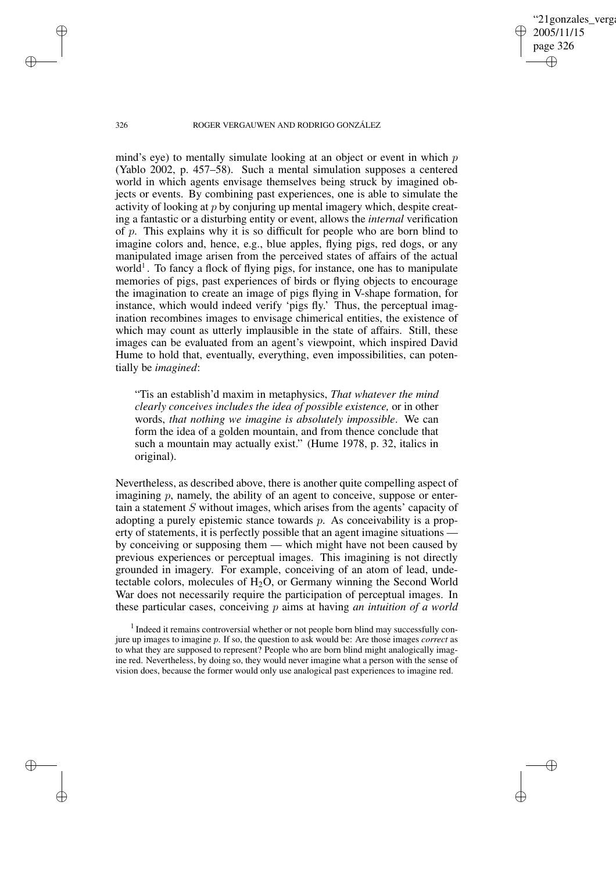'21gonzales\_verga 2005/11/15 page 326 ✐ ✐

✐

✐

## 326 ROGER VERGAUWEN AND RODRIGO GONZÁLEZ

mind's eye) to mentally simulate looking at an object or event in which p (Yablo 2002, p. 457–58). Such a mental simulation supposes a centered world in which agents envisage themselves being struck by imagined objects or events. By combining past experiences, one is able to simulate the activity of looking at p by conjuring up mental imagery which, despite creating a fantastic or a disturbing entity or event, allows the *internal* verification of  $p$ . This explains why it is so difficult for people who are born blind to imagine colors and, hence, e.g., blue apples, flying pigs, red dogs, or any manipulated image arisen from the perceived states of affairs of the actual world<sup>1</sup>. To fancy a flock of flying pigs, for instance, one has to manipulate memories of pigs, past experiences of birds or flying objects to encourage the imagination to create an image of pigs flying in V-shape formation, for instance, which would indeed verify 'pigs fly.' Thus, the perceptual imagination recombines images to envisage chimerical entities, the existence of which may count as utterly implausible in the state of affairs. Still, these images can be evaluated from an agent's viewpoint, which inspired David Hume to hold that, eventually, everything, even impossibilities, can potentially be *imagined*:

"Tis an establish'd maxim in metaphysics, *That whatever the mind clearly conceives includes the idea of possible existence,* or in other words, *that nothing we imagine is absolutely impossible*. We can form the idea of a golden mountain, and from thence conclude that such a mountain may actually exist." (Hume 1978, p. 32, italics in original).

Nevertheless, as described above, there is another quite compelling aspect of imagining  $p$ , namely, the ability of an agent to conceive, suppose or entertain a statement S without images, which arises from the agents' capacity of adopting a purely epistemic stance towards  $p$ . As conceivability is a property of statements, it is perfectly possible that an agent imagine situations  $\cdot$ by conceiving or supposing them — which might have not been caused by previous experiences or perceptual images. This imagining is not directly grounded in imagery. For example, conceiving of an atom of lead, undetectable colors, molecules of  $H_2O$ , or Germany winning the Second World War does not necessarily require the participation of perceptual images. In these particular cases, conceiving p aims at having *an intuition of a world*

✐

✐

✐

<sup>&</sup>lt;sup>1</sup> Indeed it remains controversial whether or not people born blind may successfully conjure up images to imagine p. If so, the question to ask would be: Are those images *correct* as to what they are supposed to represent? People who are born blind might analogically imagine red. Nevertheless, by doing so, they would never imagine what a person with the sense of vision does, because the former would only use analogical past experiences to imagine red.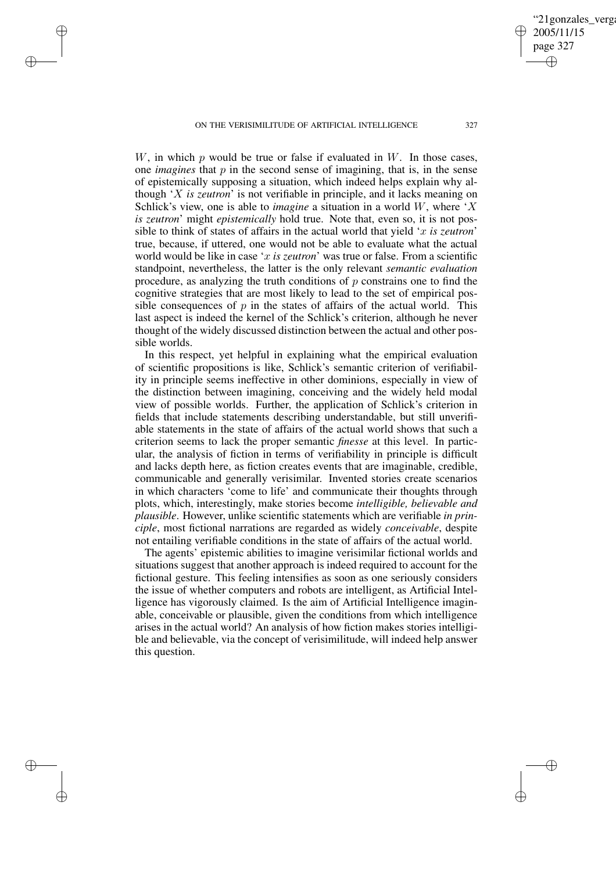✐

✐

✐

✐

W, in which p would be true or false if evaluated in  $W$ . In those cases, one *imagines* that  $p$  in the second sense of imagining, that is, in the sense of epistemically supposing a situation, which indeed helps explain why although 'X *is zeutron*' is not verifiable in principle, and it lacks meaning on Schlick's view, one is able to *imagine* a situation in a world W, where 'X *is zeutron*' might *epistemically* hold true. Note that, even so, it is not possible to think of states of affairs in the actual world that yield 'x *is zeutron*' true, because, if uttered, one would not be able to evaluate what the actual world would be like in case 'x *is zeutron*' was true or false. From a scientific standpoint, nevertheless, the latter is the only relevant *semantic evaluation* procedure, as analyzing the truth conditions of  $p$  constrains one to find the cognitive strategies that are most likely to lead to the set of empirical possible consequences of  $p$  in the states of affairs of the actual world. This last aspect is indeed the kernel of the Schlick's criterion, although he never thought of the widely discussed distinction between the actual and other possible worlds.

In this respect, yet helpful in explaining what the empirical evaluation of scientific propositions is like, Schlick's semantic criterion of verifiability in principle seems ineffective in other dominions, especially in view of the distinction between imagining, conceiving and the widely held modal view of possible worlds. Further, the application of Schlick's criterion in fields that include statements describing understandable, but still unverifiable statements in the state of affairs of the actual world shows that such a criterion seems to lack the proper semantic *finesse* at this level. In particular, the analysis of fiction in terms of verifiability in principle is difficult and lacks depth here, as fiction creates events that are imaginable, credible, communicable and generally verisimilar. Invented stories create scenarios in which characters 'come to life' and communicate their thoughts through plots, which, interestingly, make stories become *intelligible, believable and plausible*. However, unlike scientific statements which are verifiable *in principle*, most fictional narrations are regarded as widely *conceivable*, despite not entailing verifiable conditions in the state of affairs of the actual world.

The agents' epistemic abilities to imagine verisimilar fictional worlds and situations suggest that another approach is indeed required to account for the fictional gesture. This feeling intensifies as soon as one seriously considers the issue of whether computers and robots are intelligent, as Artificial Intelligence has vigorously claimed. Is the aim of Artificial Intelligence imaginable, conceivable or plausible, given the conditions from which intelligence arises in the actual world? An analysis of how fiction makes stories intelligible and believable, via the concept of verisimilitude, will indeed help answer this question.

'21gonzales\_verga

2005/11/15 page 327

✐

✐

✐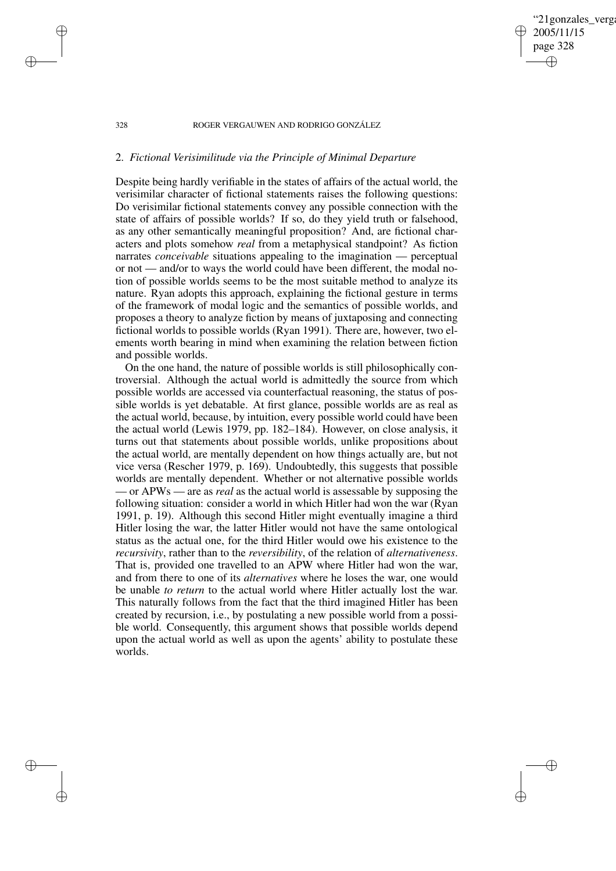## '21gonzales\_verga 2005/11/15 page 328 ✐ ✐

✐

✐

### 328 ROGER VERGAUWEN AND RODRIGO GONZÁLEZ

## 2. *Fictional Verisimilitude via the Principle of Minimal Departure*

✐

✐

✐

✐

Despite being hardly verifiable in the states of affairs of the actual world, the verisimilar character of fictional statements raises the following questions: Do verisimilar fictional statements convey any possible connection with the state of affairs of possible worlds? If so, do they yield truth or falsehood, as any other semantically meaningful proposition? And, are fictional characters and plots somehow *real* from a metaphysical standpoint? As fiction narrates *conceivable* situations appealing to the imagination — perceptual or not — and/or to ways the world could have been different, the modal notion of possible worlds seems to be the most suitable method to analyze its nature. Ryan adopts this approach, explaining the fictional gesture in terms of the framework of modal logic and the semantics of possible worlds, and proposes a theory to analyze fiction by means of juxtaposing and connecting fictional worlds to possible worlds (Ryan 1991). There are, however, two elements worth bearing in mind when examining the relation between fiction and possible worlds.

On the one hand, the nature of possible worlds is still philosophically controversial. Although the actual world is admittedly the source from which possible worlds are accessed via counterfactual reasoning, the status of possible worlds is yet debatable. At first glance, possible worlds are as real as the actual world, because, by intuition, every possible world could have been the actual world (Lewis 1979, pp. 182–184). However, on close analysis, it turns out that statements about possible worlds, unlike propositions about the actual world, are mentally dependent on how things actually are, but not vice versa (Rescher 1979, p. 169). Undoubtedly, this suggests that possible worlds are mentally dependent. Whether or not alternative possible worlds — or APWs — are as *real* as the actual world is assessable by supposing the following situation: consider a world in which Hitler had won the war (Ryan 1991, p. 19). Although this second Hitler might eventually imagine a third Hitler losing the war, the latter Hitler would not have the same ontological status as the actual one, for the third Hitler would owe his existence to the *recursivity*, rather than to the *reversibility*, of the relation of *alternativeness*. That is, provided one travelled to an APW where Hitler had won the war, and from there to one of its *alternatives* where he loses the war, one would be unable *to return* to the actual world where Hitler actually lost the war. This naturally follows from the fact that the third imagined Hitler has been created by recursion, i.e., by postulating a new possible world from a possible world. Consequently, this argument shows that possible worlds depend upon the actual world as well as upon the agents' ability to postulate these worlds.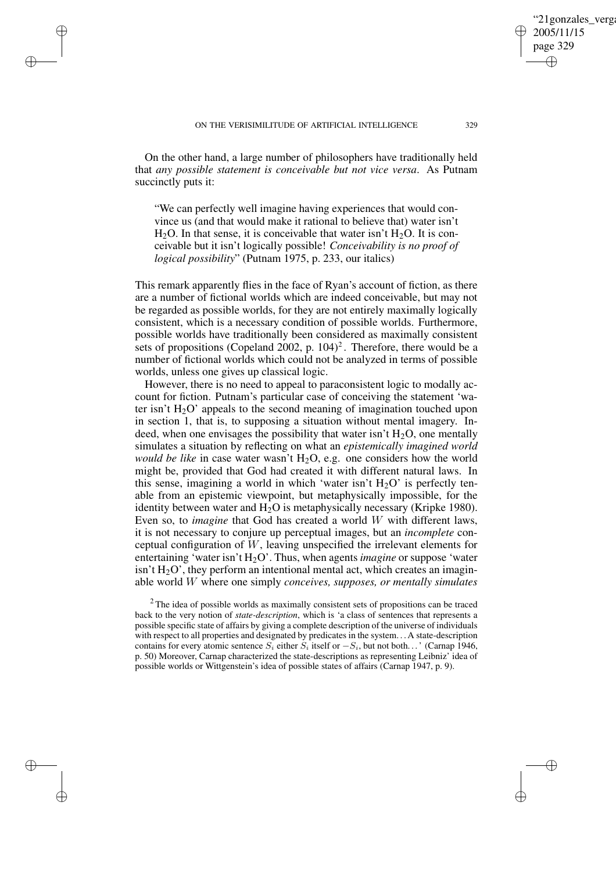✐

✐

✐

✐

On the other hand, a large number of philosophers have traditionally held that *any possible statement is conceivable but not vice versa*. As Putnam succinctly puts it:

"We can perfectly well imagine having experiences that would convince us (and that would make it rational to believe that) water isn't  $H<sub>2</sub>O$ . In that sense, it is conceivable that water isn't  $H<sub>2</sub>O$ . It is conceivable but it isn't logically possible! *Conceivability is no proof of logical possibility*" (Putnam 1975, p. 233, our italics)

This remark apparently flies in the face of Ryan's account of fiction, as there are a number of fictional worlds which are indeed conceivable, but may not be regarded as possible worlds, for they are not entirely maximally logically consistent, which is a necessary condition of possible worlds. Furthermore, possible worlds have traditionally been considered as maximally consistent sets of propositions (Copeland 2002, p.  $104$ )<sup>2</sup>. Therefore, there would be a number of fictional worlds which could not be analyzed in terms of possible worlds, unless one gives up classical logic.

However, there is no need to appeal to paraconsistent logic to modally account for fiction. Putnam's particular case of conceiving the statement 'water isn't  $H_2O'$  appeals to the second meaning of imagination touched upon in section 1, that is, to supposing a situation without mental imagery. Indeed, when one envisages the possibility that water isn't  $H_2O$ , one mentally simulates a situation by reflecting on what an *epistemically imagined world would be like* in case water wasn't  $H_2O$ , e.g. one considers how the world might be, provided that God had created it with different natural laws. In this sense, imagining a world in which 'water isn't  $H_2O'$  is perfectly tenable from an epistemic viewpoint, but metaphysically impossible, for the identity between water and  $H<sub>2</sub>O$  is metaphysically necessary (Kripke 1980). Even so, to *imagine* that God has created a world W with different laws, it is not necessary to conjure up perceptual images, but an *incomplete* conceptual configuration of W, leaving unspecified the irrelevant elements for entertaining 'water isn't H<sub>2</sub>O'. Thus, when agents *imagine* or suppose 'water isn't  $H_2O'$ , they perform an intentional mental act, which creates an imaginable world W where one simply *conceives, supposes, or mentally simulates*

<sup>2</sup> The idea of possible worlds as maximally consistent sets of propositions can be traced back to the very notion of *state-description*, which is 'a class of sentences that represents a possible specific state of affairs by giving a complete description of the universe of individuals with respect to all properties and designated by predicates in the system. . . A state-description contains for every atomic sentence  $S_i$  either  $S_i$  itself or  $-S_i$ , but not both...' (Carnap 1946, p. 50) Moreover, Carnap characterized the state-descriptions as representing Leibniz' idea of possible worlds or Wittgenstein's idea of possible states of affairs (Carnap 1947, p. 9).

'21gonzales\_verga

2005/11/15 page 329

✐

✐

✐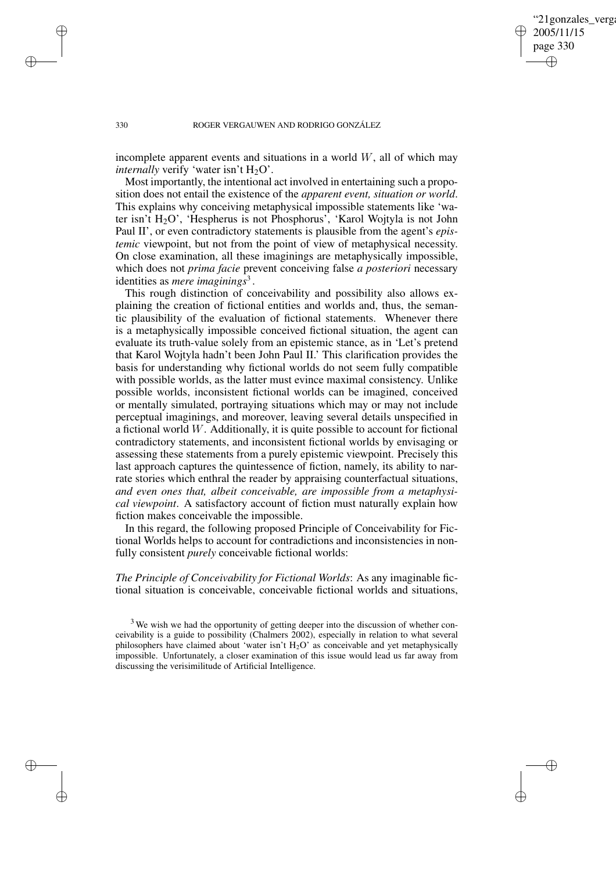'21gonzales verga 2005/11/15 page 330 ✐ ✐

✐

✐

### 330 ROGER VERGAUWEN AND RODRIGO GONZÁLEZ

incomplete apparent events and situations in a world  $W$ , all of which may *internally* verify 'water isn't  $H_2O'$ .

Most importantly, the intentional act involved in entertaining such a proposition does not entail the existence of the *apparent event, situation or world*. This explains why conceiving metaphysical impossible statements like 'water isn't H<sub>2</sub>O', 'Hespherus is not Phosphorus', 'Karol Wojtyla is not John Paul II', or even contradictory statements is plausible from the agent's *epistemic* viewpoint, but not from the point of view of metaphysical necessity. On close examination, all these imaginings are metaphysically impossible, which does not *prima facie* prevent conceiving false *a posteriori* necessary identities as *mere imaginings*<sup>3</sup>.

This rough distinction of conceivability and possibility also allows explaining the creation of fictional entities and worlds and, thus, the semantic plausibility of the evaluation of fictional statements. Whenever there is a metaphysically impossible conceived fictional situation, the agent can evaluate its truth-value solely from an epistemic stance, as in 'Let's pretend that Karol Wojtyla hadn't been John Paul II.' This clarification provides the basis for understanding why fictional worlds do not seem fully compatible with possible worlds, as the latter must evince maximal consistency. Unlike possible worlds, inconsistent fictional worlds can be imagined, conceived or mentally simulated, portraying situations which may or may not include perceptual imaginings, and moreover, leaving several details unspecified in a fictional world W. Additionally, it is quite possible to account for fictional contradictory statements, and inconsistent fictional worlds by envisaging or assessing these statements from a purely epistemic viewpoint. Precisely this last approach captures the quintessence of fiction, namely, its ability to narrate stories which enthral the reader by appraising counterfactual situations, *and even ones that, albeit conceivable, are impossible from a metaphysical viewpoint*. A satisfactory account of fiction must naturally explain how fiction makes conceivable the impossible.

In this regard, the following proposed Principle of Conceivability for Fictional Worlds helps to account for contradictions and inconsistencies in nonfully consistent *purely* conceivable fictional worlds:

*The Principle of Conceivability for Fictional Worlds*: As any imaginable fictional situation is conceivable, conceivable fictional worlds and situations,

<sup>3</sup> We wish we had the opportunity of getting deeper into the discussion of whether conceivability is a guide to possibility (Chalmers 2002), especially in relation to what several philosophers have claimed about 'water isn't  $H_2O'$  as conceivable and yet metaphysically impossible. Unfortunately, a closer examination of this issue would lead us far away from discussing the verisimilitude of Artificial Intelligence.

✐

✐

✐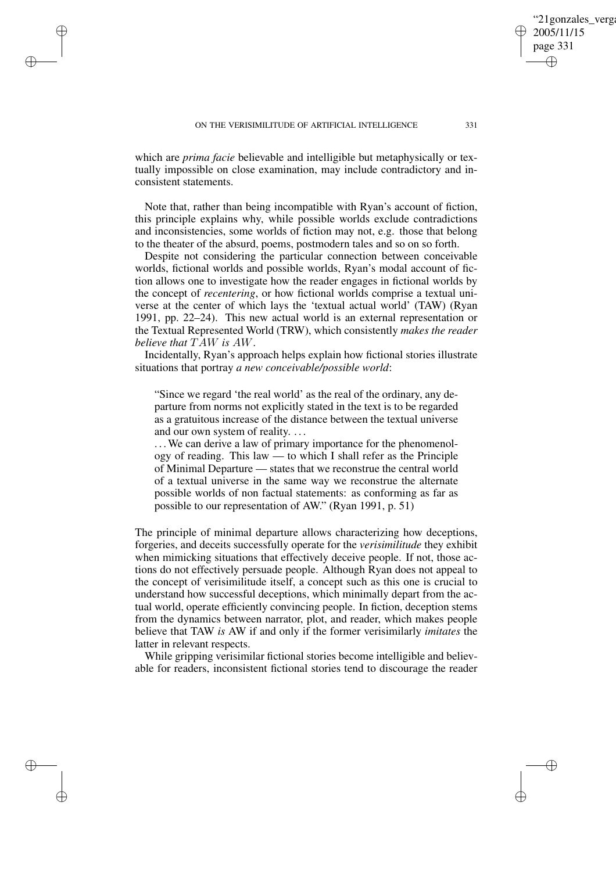✐

✐

✐

✐

which are *prima facie* believable and intelligible but metaphysically or textually impossible on close examination, may include contradictory and inconsistent statements.

Note that, rather than being incompatible with Ryan's account of fiction, this principle explains why, while possible worlds exclude contradictions and inconsistencies, some worlds of fiction may not, e.g. those that belong to the theater of the absurd, poems, postmodern tales and so on so forth.

Despite not considering the particular connection between conceivable worlds, fictional worlds and possible worlds, Ryan's modal account of fiction allows one to investigate how the reader engages in fictional worlds by the concept of *recentering*, or how fictional worlds comprise a textual universe at the center of which lays the 'textual actual world' (TAW) (Ryan 1991, pp. 22–24). This new actual world is an external representation or the Textual Represented World (TRW), which consistently *makes the reader believe that* TAW *is* AW.

Incidentally, Ryan's approach helps explain how fictional stories illustrate situations that portray *a new conceivable/possible world*:

"Since we regard 'the real world' as the real of the ordinary, any departure from norms not explicitly stated in the text is to be regarded as a gratuitous increase of the distance between the textual universe and our own system of reality. . . .

... We can derive a law of primary importance for the phenomenology of reading. This law — to which I shall refer as the Principle of Minimal Departure — states that we reconstrue the central world of a textual universe in the same way we reconstrue the alternate possible worlds of non factual statements: as conforming as far as possible to our representation of AW." (Ryan 1991, p. 51)

The principle of minimal departure allows characterizing how deceptions, forgeries, and deceits successfully operate for the *verisimilitude* they exhibit when mimicking situations that effectively deceive people. If not, those actions do not effectively persuade people. Although Ryan does not appeal to the concept of verisimilitude itself, a concept such as this one is crucial to understand how successful deceptions, which minimally depart from the actual world, operate efficiently convincing people. In fiction, deception stems from the dynamics between narrator, plot, and reader, which makes people believe that TAW *is* AW if and only if the former verisimilarly *imitates* the latter in relevant respects.

While gripping verisimilar fictional stories become intelligible and believable for readers, inconsistent fictional stories tend to discourage the reader

'21gonzales\_verga

2005/11/15 page 331

✐

✐

✐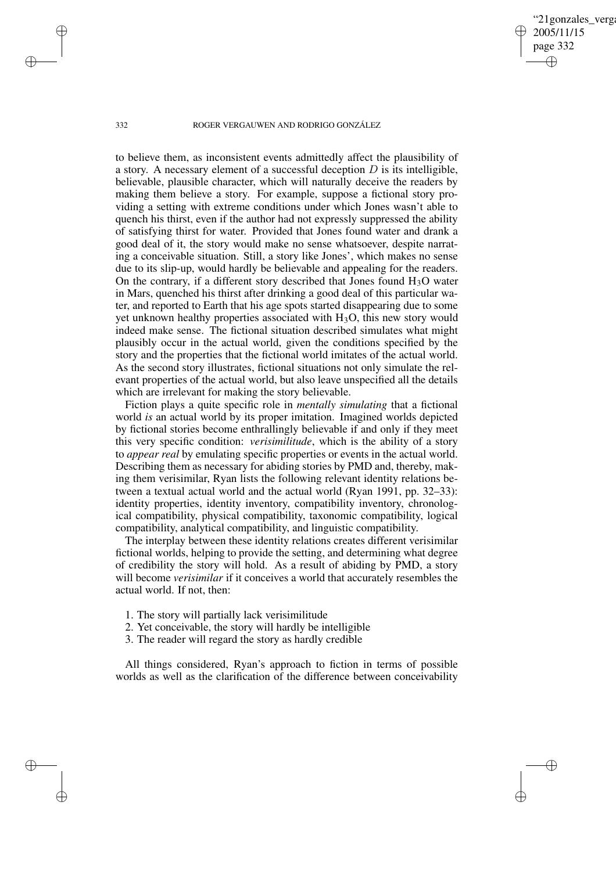'21gonzales\_verga 2005/11/15 page 332 ✐ ✐

✐

✐

## 332 ROGER VERGAUWEN AND RODRIGO GONZÁLEZ

to believe them, as inconsistent events admittedly affect the plausibility of a story. A necessary element of a successful deception  $D$  is its intelligible, believable, plausible character, which will naturally deceive the readers by making them believe a story. For example, suppose a fictional story providing a setting with extreme conditions under which Jones wasn't able to quench his thirst, even if the author had not expressly suppressed the ability of satisfying thirst for water. Provided that Jones found water and drank a good deal of it, the story would make no sense whatsoever, despite narrating a conceivable situation. Still, a story like Jones', which makes no sense due to its slip-up, would hardly be believable and appealing for the readers. On the contrary, if a different story described that Jones found  $H_3O$  water in Mars, quenched his thirst after drinking a good deal of this particular water, and reported to Earth that his age spots started disappearing due to some yet unknown healthy properties associated with  $H_3O$ , this new story would indeed make sense. The fictional situation described simulates what might plausibly occur in the actual world, given the conditions specified by the story and the properties that the fictional world imitates of the actual world. As the second story illustrates, fictional situations not only simulate the relevant properties of the actual world, but also leave unspecified all the details which are irrelevant for making the story believable.

Fiction plays a quite specific role in *mentally simulating* that a fictional world *is* an actual world by its proper imitation. Imagined worlds depicted by fictional stories become enthrallingly believable if and only if they meet this very specific condition: *verisimilitude*, which is the ability of a story to *appear real* by emulating specific properties or events in the actual world. Describing them as necessary for abiding stories by PMD and, thereby, making them verisimilar, Ryan lists the following relevant identity relations between a textual actual world and the actual world (Ryan 1991, pp. 32–33): identity properties, identity inventory, compatibility inventory, chronological compatibility, physical compatibility, taxonomic compatibility, logical compatibility, analytical compatibility, and linguistic compatibility.

The interplay between these identity relations creates different verisimilar fictional worlds, helping to provide the setting, and determining what degree of credibility the story will hold. As a result of abiding by PMD, a story will become *verisimilar* if it conceives a world that accurately resembles the actual world. If not, then:

- 1. The story will partially lack verisimilitude
- 2. Yet conceivable, the story will hardly be intelligible
- 3. The reader will regard the story as hardly credible

All things considered, Ryan's approach to fiction in terms of possible worlds as well as the clarification of the difference between conceivability

✐

✐

✐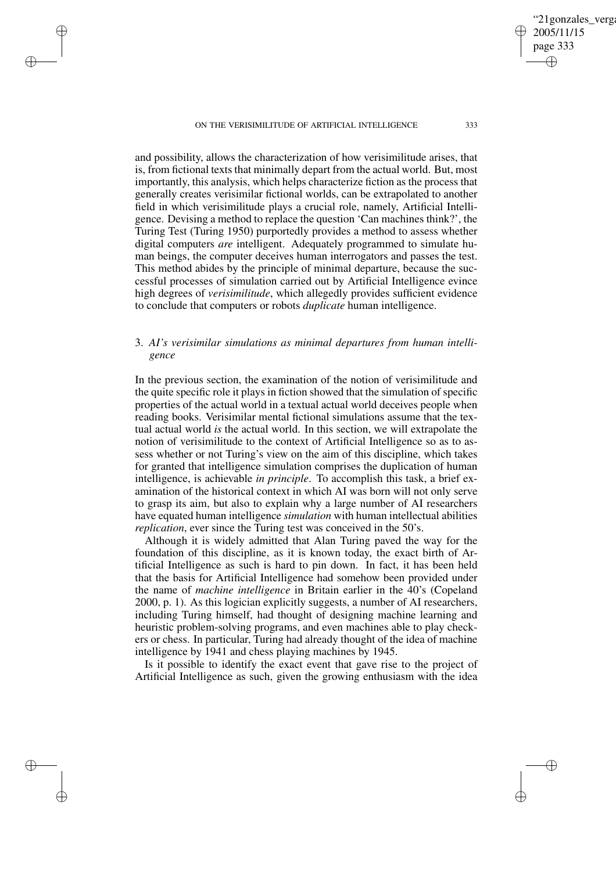✐

✐

✐

✐

and possibility, allows the characterization of how verisimilitude arises, that is, from fictional texts that minimally depart from the actual world. But, most importantly, this analysis, which helps characterize fiction as the process that generally creates verisimilar fictional worlds, can be extrapolated to another field in which verisimilitude plays a crucial role, namely, Artificial Intelligence. Devising a method to replace the question 'Can machines think?', the Turing Test (Turing 1950) purportedly provides a method to assess whether digital computers *are* intelligent. Adequately programmed to simulate human beings, the computer deceives human interrogators and passes the test. This method abides by the principle of minimal departure, because the successful processes of simulation carried out by Artificial Intelligence evince high degrees of *verisimilitude*, which allegedly provides sufficient evidence to conclude that computers or robots *duplicate* human intelligence.

# 3. *AI's verisimilar simulations as minimal departures from human intelligence*

In the previous section, the examination of the notion of verisimilitude and the quite specific role it plays in fiction showed that the simulation of specific properties of the actual world in a textual actual world deceives people when reading books. Verisimilar mental fictional simulations assume that the textual actual world *is* the actual world. In this section, we will extrapolate the notion of verisimilitude to the context of Artificial Intelligence so as to assess whether or not Turing's view on the aim of this discipline, which takes for granted that intelligence simulation comprises the duplication of human intelligence, is achievable *in principle*. To accomplish this task, a brief examination of the historical context in which AI was born will not only serve to grasp its aim, but also to explain why a large number of AI researchers have equated human intelligence *simulation* with human intellectual abilities *replication*, ever since the Turing test was conceived in the 50's.

Although it is widely admitted that Alan Turing paved the way for the foundation of this discipline, as it is known today, the exact birth of Artificial Intelligence as such is hard to pin down. In fact, it has been held that the basis for Artificial Intelligence had somehow been provided under the name of *machine intelligence* in Britain earlier in the 40's (Copeland 2000, p. 1). As this logician explicitly suggests, a number of AI researchers, including Turing himself, had thought of designing machine learning and heuristic problem-solving programs, and even machines able to play checkers or chess. In particular, Turing had already thought of the idea of machine intelligence by 1941 and chess playing machines by 1945.

Is it possible to identify the exact event that gave rise to the project of Artificial Intelligence as such, given the growing enthusiasm with the idea '21gonzales\_verga

2005/11/15 page 333

✐

✐

✐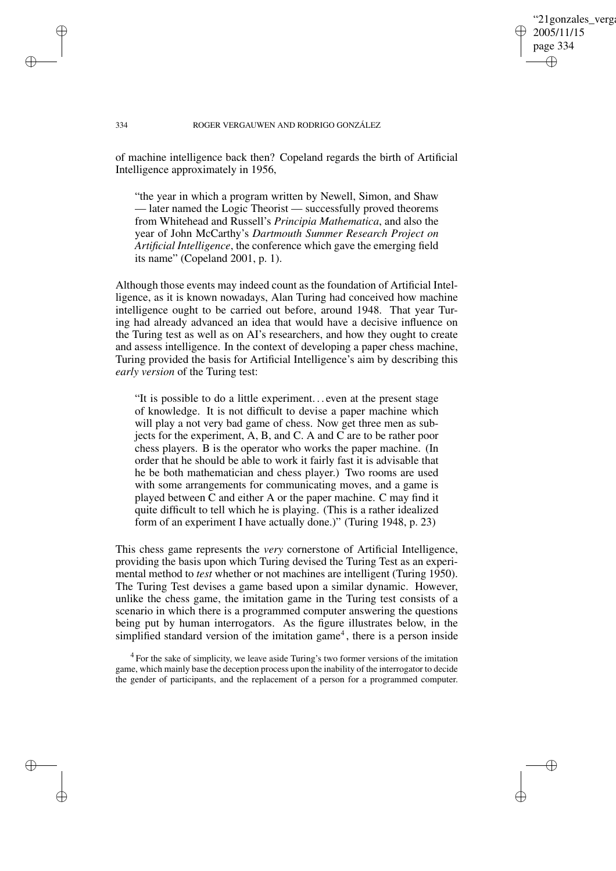## '21gonzales\_verga 2005/11/15 page 334 ✐ ✐

✐

✐

### 334 ROGER VERGAUWEN AND RODRIGO GONZÁLEZ

of machine intelligence back then? Copeland regards the birth of Artificial Intelligence approximately in 1956,

"the year in which a program written by Newell, Simon, and Shaw — later named the Logic Theorist — successfully proved theorems from Whitehead and Russell's *Principia Mathematica*, and also the year of John McCarthy's *Dartmouth Summer Research Project on Artificial Intelligence*, the conference which gave the emerging field its name" (Copeland 2001, p. 1).

Although those events may indeed count as the foundation of Artificial Intelligence, as it is known nowadays, Alan Turing had conceived how machine intelligence ought to be carried out before, around 1948. That year Turing had already advanced an idea that would have a decisive influence on the Turing test as well as on AI's researchers, and how they ought to create and assess intelligence. In the context of developing a paper chess machine, Turing provided the basis for Artificial Intelligence's aim by describing this *early version* of the Turing test:

"It is possible to do a little experiment. . . even at the present stage of knowledge. It is not difficult to devise a paper machine which will play a not very bad game of chess. Now get three men as subjects for the experiment, A, B, and C. A and C are to be rather poor chess players. B is the operator who works the paper machine. (In order that he should be able to work it fairly fast it is advisable that he be both mathematician and chess player.) Two rooms are used with some arrangements for communicating moves, and a game is played between C and either A or the paper machine. C may find it quite difficult to tell which he is playing. (This is a rather idealized form of an experiment I have actually done.)" (Turing 1948, p. 23)

This chess game represents the *very* cornerstone of Artificial Intelligence, providing the basis upon which Turing devised the Turing Test as an experimental method to *test* whether or not machines are intelligent (Turing 1950). The Turing Test devises a game based upon a similar dynamic. However, unlike the chess game, the imitation game in the Turing test consists of a scenario in which there is a programmed computer answering the questions being put by human interrogators. As the figure illustrates below, in the simplified standard version of the imitation game<sup>4</sup>, there is a person inside

<sup>4</sup> For the sake of simplicity, we leave aside Turing's two former versions of the imitation game, which mainly base the deception process upon the inability of the interrogator to decide the gender of participants, and the replacement of a person for a programmed computer.

✐

✐

✐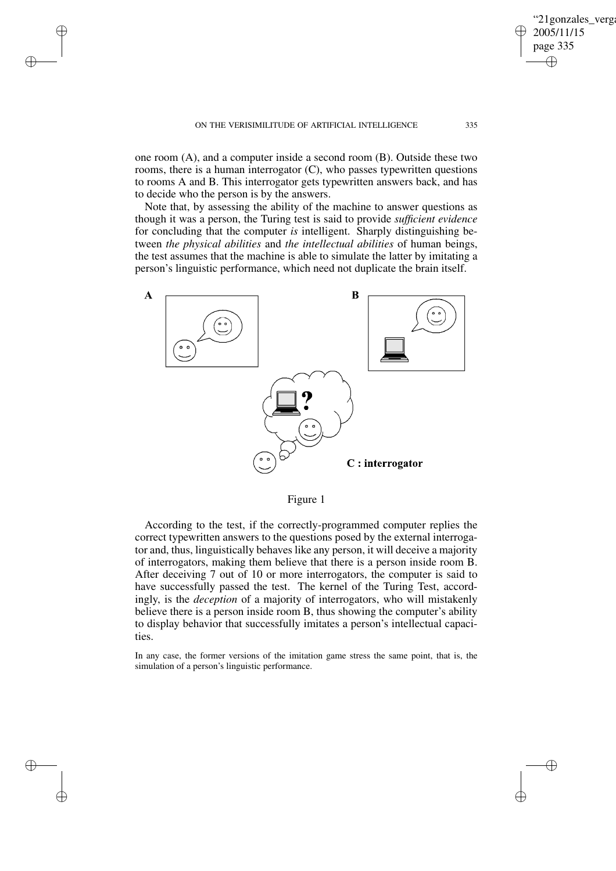✐

✐

✐

✐

one room (A), and a computer inside a second room (B). Outside these two rooms, there is a human interrogator (C), who passes typewritten questions to rooms A and B. This interrogator gets typewritten answers back, and has to decide who the person is by the answers.

Note that, by assessing the ability of the machine to answer questions as though it was a person, the Turing test is said to provide *sufficient evidence* for concluding that the computer *is* intelligent. Sharply distinguishing between *the physical abilities* and *the intellectual abilities* of human beings, the test assumes that the machine is able to simulate the latter by imitating a person's linguistic performance, which need not duplicate the brain itself.



Figure 1

According to the test, if the correctly-programmed computer replies the correct typewritten answers to the questions posed by the external interrogator and, thus, linguistically behaves like any person, it will deceive a majority of interrogators, making them believe that there is a person inside room B. After deceiving 7 out of 10 or more interrogators, the computer is said to have successfully passed the test. The kernel of the Turing Test, accordingly, is the *deception* of a majority of interrogators, who will mistakenly believe there is a person inside room B, thus showing the computer's ability to display behavior that successfully imitates a person's intellectual capacities.

In any case, the former versions of the imitation game stress the same point, that is, the simulation of a person's linguistic performance.

"21gonzales\_verga 2005/11/15 page 335

✐

✐

✐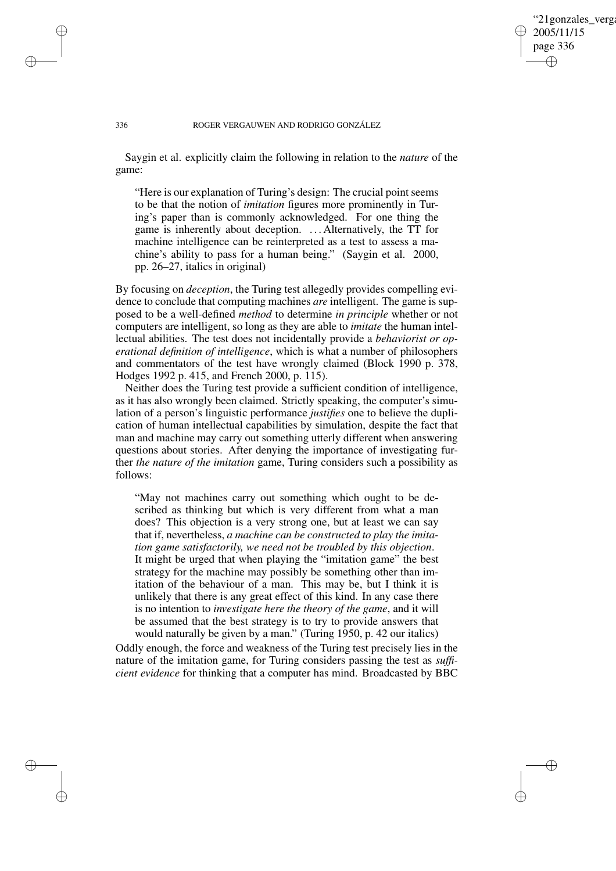## '21gonzales\_verga 2005/11/15 page 336 ✐ ✐

✐

✐

### 336 ROGER VERGAUWEN AND RODRIGO GONZÁLEZ

Saygin et al. explicitly claim the following in relation to the *nature* of the game:

"Here is our explanation of Turing's design: The crucial point seems to be that the notion of *imitation* figures more prominently in Turing's paper than is commonly acknowledged. For one thing the game is inherently about deception. . . . Alternatively, the TT for machine intelligence can be reinterpreted as a test to assess a machine's ability to pass for a human being." (Saygin et al. 2000, pp. 26–27, italics in original)

By focusing on *deception*, the Turing test allegedly provides compelling evidence to conclude that computing machines *are* intelligent. The game is supposed to be a well-defined *method* to determine *in principle* whether or not computers are intelligent, so long as they are able to *imitate* the human intellectual abilities. The test does not incidentally provide a *behaviorist or operational definition of intelligence*, which is what a number of philosophers and commentators of the test have wrongly claimed (Block 1990 p. 378, Hodges 1992 p. 415, and French 2000, p. 115).

Neither does the Turing test provide a sufficient condition of intelligence, as it has also wrongly been claimed. Strictly speaking, the computer's simulation of a person's linguistic performance *justifies* one to believe the duplication of human intellectual capabilities by simulation, despite the fact that man and machine may carry out something utterly different when answering questions about stories. After denying the importance of investigating further *the nature of the imitation* game, Turing considers such a possibility as follows:

"May not machines carry out something which ought to be described as thinking but which is very different from what a man does? This objection is a very strong one, but at least we can say that if, nevertheless, *a machine can be constructed to play the imitation game satisfactorily, we need not be troubled by this objection*. It might be urged that when playing the "imitation game" the best strategy for the machine may possibly be something other than imitation of the behaviour of a man. This may be, but I think it is unlikely that there is any great effect of this kind. In any case there is no intention to *investigate here the theory of the game*, and it will be assumed that the best strategy is to try to provide answers that would naturally be given by a man." (Turing 1950, p. 42 our italics)

Oddly enough, the force and weakness of the Turing test precisely lies in the nature of the imitation game, for Turing considers passing the test as *sufficient evidence* for thinking that a computer has mind. Broadcasted by BBC

✐

✐

✐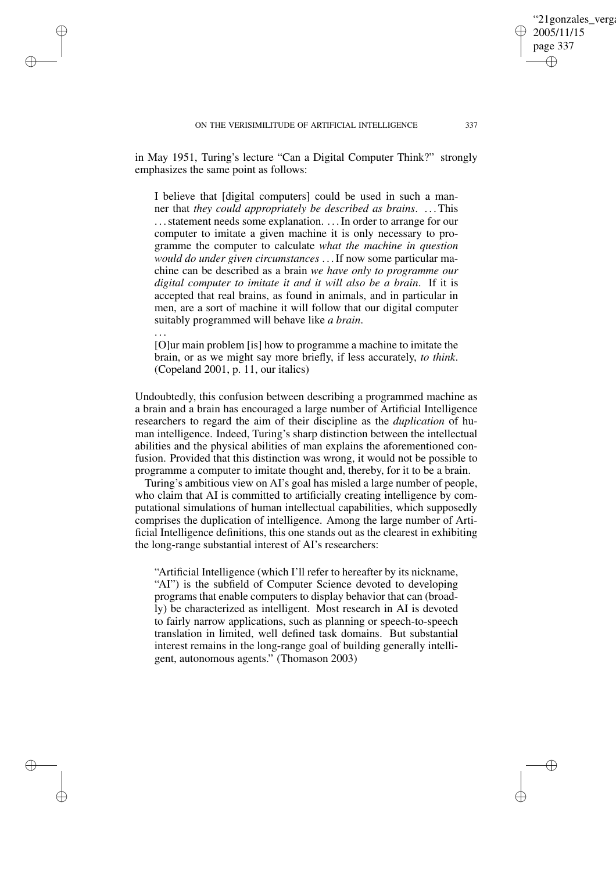✐

✐

✐

✐

in May 1951, Turing's lecture "Can a Digital Computer Think?" strongly emphasizes the same point as follows:

I believe that [digital computers] could be used in such a manner that *they could appropriately be described as brains*. . . .This ... statement needs some explanation. ... In order to arrange for our computer to imitate a given machine it is only necessary to programme the computer to calculate *what the machine in question would do under given circumstances* . . .If now some particular machine can be described as a brain *we have only to programme our digital computer to imitate it and it will also be a brain*. If it is accepted that real brains, as found in animals, and in particular in men, are a sort of machine it will follow that our digital computer suitably programmed will behave like *a brain*.

[O]ur main problem [is] how to programme a machine to imitate the brain, or as we might say more briefly, if less accurately, *to think*. (Copeland 2001, p. 11, our italics)

. . .

Undoubtedly, this confusion between describing a programmed machine as a brain and a brain has encouraged a large number of Artificial Intelligence researchers to regard the aim of their discipline as the *duplication* of human intelligence. Indeed, Turing's sharp distinction between the intellectual abilities and the physical abilities of man explains the aforementioned confusion. Provided that this distinction was wrong, it would not be possible to programme a computer to imitate thought and, thereby, for it to be a brain.

Turing's ambitious view on AI's goal has misled a large number of people, who claim that AI is committed to artificially creating intelligence by computational simulations of human intellectual capabilities, which supposedly comprises the duplication of intelligence. Among the large number of Artificial Intelligence definitions, this one stands out as the clearest in exhibiting the long-range substantial interest of AI's researchers:

"Artificial Intelligence (which I'll refer to hereafter by its nickname, "AI") is the subfield of Computer Science devoted to developing programs that enable computers to display behavior that can (broadly) be characterized as intelligent. Most research in AI is devoted to fairly narrow applications, such as planning or speech-to-speech translation in limited, well defined task domains. But substantial interest remains in the long-range goal of building generally intelligent, autonomous agents." (Thomason 2003)

'21gonzales\_verga

2005/11/15 page 337

✐

✐

✐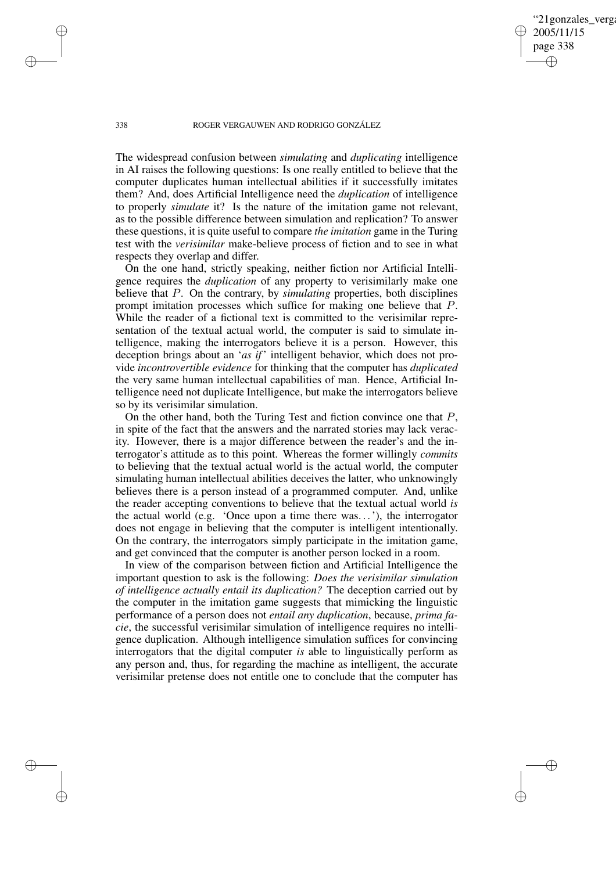'21gonzales\_verga 2005/11/15 page 338 ✐ ✐

✐

✐

### 338 ROGER VERGAUWEN AND RODRIGO GONZÁLEZ

The widespread confusion between *simulating* and *duplicating* intelligence in AI raises the following questions: Is one really entitled to believe that the computer duplicates human intellectual abilities if it successfully imitates them? And, does Artificial Intelligence need the *duplication* of intelligence to properly *simulate* it? Is the nature of the imitation game not relevant, as to the possible difference between simulation and replication? To answer these questions, it is quite useful to compare *the imitation* game in the Turing test with the *verisimilar* make-believe process of fiction and to see in what respects they overlap and differ.

On the one hand, strictly speaking, neither fiction nor Artificial Intelligence requires the *duplication* of any property to verisimilarly make one believe that P. On the contrary, by *simulating* properties, both disciplines prompt imitation processes which suffice for making one believe that P. While the reader of a fictional text is committed to the verisimilar representation of the textual actual world, the computer is said to simulate intelligence, making the interrogators believe it is a person. However, this deception brings about an '*as if*' intelligent behavior, which does not provide *incontrovertible evidence* for thinking that the computer has *duplicated* the very same human intellectual capabilities of man. Hence, Artificial Intelligence need not duplicate Intelligence, but make the interrogators believe so by its verisimilar simulation.

On the other hand, both the Turing Test and fiction convince one that  $P$ , in spite of the fact that the answers and the narrated stories may lack veracity. However, there is a major difference between the reader's and the interrogator's attitude as to this point. Whereas the former willingly *commits* to believing that the textual actual world is the actual world, the computer simulating human intellectual abilities deceives the latter, who unknowingly believes there is a person instead of a programmed computer. And, unlike the reader accepting conventions to believe that the textual actual world *is* the actual world (e.g. 'Once upon a time there was. . .'), the interrogator does not engage in believing that the computer is intelligent intentionally. On the contrary, the interrogators simply participate in the imitation game, and get convinced that the computer is another person locked in a room.

In view of the comparison between fiction and Artificial Intelligence the important question to ask is the following: *Does the verisimilar simulation of intelligence actually entail its duplication?* The deception carried out by the computer in the imitation game suggests that mimicking the linguistic performance of a person does not *entail any duplication*, because, *prima facie*, the successful verisimilar simulation of intelligence requires no intelligence duplication. Although intelligence simulation suffices for convincing interrogators that the digital computer *is* able to linguistically perform as any person and, thus, for regarding the machine as intelligent, the accurate verisimilar pretense does not entitle one to conclude that the computer has

✐

✐

✐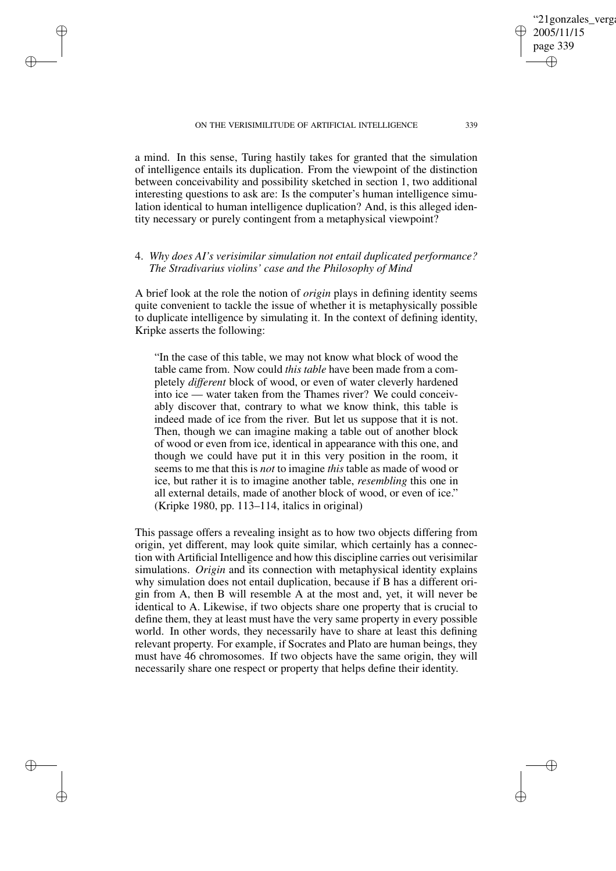✐

✐

✐

✐

a mind. In this sense, Turing hastily takes for granted that the simulation of intelligence entails its duplication. From the viewpoint of the distinction between conceivability and possibility sketched in section 1, two additional interesting questions to ask are: Is the computer's human intelligence simulation identical to human intelligence duplication? And, is this alleged identity necessary or purely contingent from a metaphysical viewpoint?

# 4. *Why does AI's verisimilar simulation not entail duplicated performance? The Stradivarius violins' case and the Philosophy of Mind*

A brief look at the role the notion of *origin* plays in defining identity seems quite convenient to tackle the issue of whether it is metaphysically possible to duplicate intelligence by simulating it. In the context of defining identity, Kripke asserts the following:

"In the case of this table, we may not know what block of wood the table came from. Now could *this table* have been made from a completely *different* block of wood, or even of water cleverly hardened into ice — water taken from the Thames river? We could conceivably discover that, contrary to what we know think, this table is indeed made of ice from the river. But let us suppose that it is not. Then, though we can imagine making a table out of another block of wood or even from ice, identical in appearance with this one, and though we could have put it in this very position in the room, it seems to me that this is *not* to imagine *this* table as made of wood or ice, but rather it is to imagine another table, *resembling* this one in all external details, made of another block of wood, or even of ice." (Kripke 1980, pp. 113–114, italics in original)

This passage offers a revealing insight as to how two objects differing from origin, yet different, may look quite similar, which certainly has a connection with Artificial Intelligence and how this discipline carries out verisimilar simulations. *Origin* and its connection with metaphysical identity explains why simulation does not entail duplication, because if B has a different origin from A, then B will resemble A at the most and, yet, it will never be identical to A. Likewise, if two objects share one property that is crucial to define them, they at least must have the very same property in every possible world. In other words, they necessarily have to share at least this defining relevant property. For example, if Socrates and Plato are human beings, they must have 46 chromosomes. If two objects have the same origin, they will necessarily share one respect or property that helps define their identity.

'21gonzales\_verga

2005/11/15 page 339

✐

✐

✐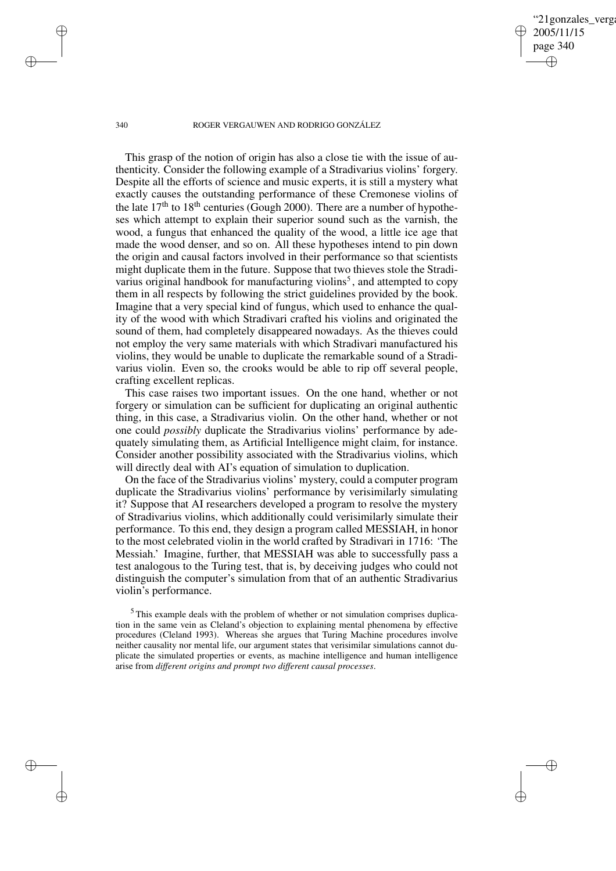'21gonzales verga 2005/11/15 page 340 ✐ ✐

✐

✐

## 340 ROGER VERGAUWEN AND RODRIGO GONZÁLEZ

This grasp of the notion of origin has also a close tie with the issue of authenticity. Consider the following example of a Stradivarius violins' forgery. Despite all the efforts of science and music experts, it is still a mystery what exactly causes the outstanding performance of these Cremonese violins of the late  $17<sup>th</sup>$  to  $18<sup>th</sup>$  centuries (Gough 2000). There are a number of hypotheses which attempt to explain their superior sound such as the varnish, the wood, a fungus that enhanced the quality of the wood, a little ice age that made the wood denser, and so on. All these hypotheses intend to pin down the origin and causal factors involved in their performance so that scientists might duplicate them in the future. Suppose that two thieves stole the Stradivarius original handbook for manufacturing violins<sup>5</sup>, and attempted to copy them in all respects by following the strict guidelines provided by the book. Imagine that a very special kind of fungus, which used to enhance the quality of the wood with which Stradivari crafted his violins and originated the sound of them, had completely disappeared nowadays. As the thieves could not employ the very same materials with which Stradivari manufactured his violins, they would be unable to duplicate the remarkable sound of a Stradivarius violin. Even so, the crooks would be able to rip off several people, crafting excellent replicas.

This case raises two important issues. On the one hand, whether or not forgery or simulation can be sufficient for duplicating an original authentic thing, in this case, a Stradivarius violin. On the other hand, whether or not one could *possibly* duplicate the Stradivarius violins' performance by adequately simulating them, as Artificial Intelligence might claim, for instance. Consider another possibility associated with the Stradivarius violins, which will directly deal with AI's equation of simulation to duplication.

On the face of the Stradivarius violins' mystery, could a computer program duplicate the Stradivarius violins' performance by verisimilarly simulating it? Suppose that AI researchers developed a program to resolve the mystery of Stradivarius violins, which additionally could verisimilarly simulate their performance. To this end, they design a program called MESSIAH, in honor to the most celebrated violin in the world crafted by Stradivari in 1716: 'The Messiah.' Imagine, further, that MESSIAH was able to successfully pass a test analogous to the Turing test, that is, by deceiving judges who could not distinguish the computer's simulation from that of an authentic Stradivarius violin's performance.

<sup>5</sup> This example deals with the problem of whether or not simulation comprises duplication in the same vein as Cleland's objection to explaining mental phenomena by effective procedures (Cleland 1993). Whereas she argues that Turing Machine procedures involve neither causality nor mental life, our argument states that verisimilar simulations cannot duplicate the simulated properties or events, as machine intelligence and human intelligence arise from *different origins and prompt two different causal processes*.

✐

✐

✐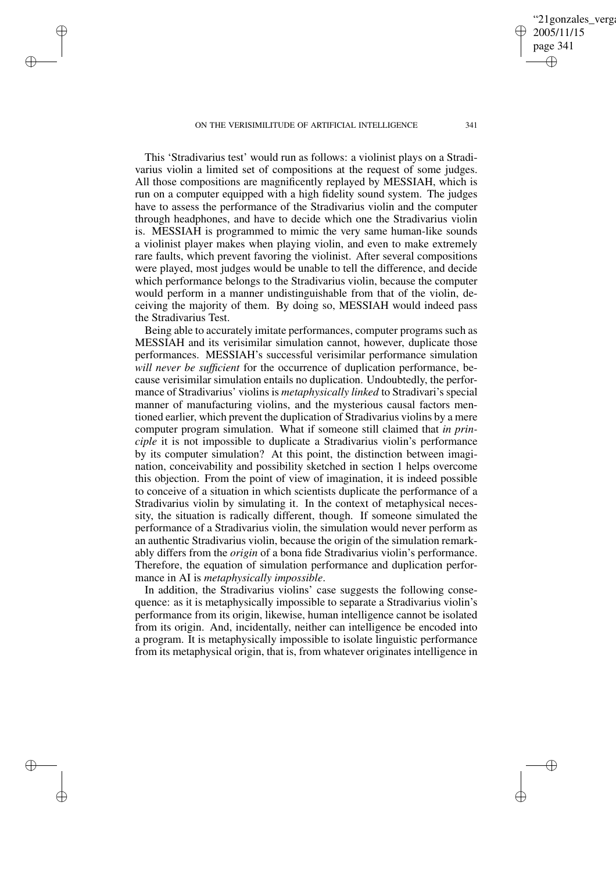✐

✐

✐

✐

This 'Stradivarius test' would run as follows: a violinist plays on a Stradivarius violin a limited set of compositions at the request of some judges. All those compositions are magnificently replayed by MESSIAH, which is run on a computer equipped with a high fidelity sound system. The judges have to assess the performance of the Stradivarius violin and the computer through headphones, and have to decide which one the Stradivarius violin is. MESSIAH is programmed to mimic the very same human-like sounds a violinist player makes when playing violin, and even to make extremely rare faults, which prevent favoring the violinist. After several compositions were played, most judges would be unable to tell the difference, and decide which performance belongs to the Stradivarius violin, because the computer would perform in a manner undistinguishable from that of the violin, deceiving the majority of them. By doing so, MESSIAH would indeed pass the Stradivarius Test.

Being able to accurately imitate performances, computer programs such as MESSIAH and its verisimilar simulation cannot, however, duplicate those performances. MESSIAH's successful verisimilar performance simulation *will never be sufficient* for the occurrence of duplication performance, because verisimilar simulation entails no duplication. Undoubtedly, the performance of Stradivarius' violins is *metaphysically linked* to Stradivari's special manner of manufacturing violins, and the mysterious causal factors mentioned earlier, which prevent the duplication of Stradivarius violins by a mere computer program simulation. What if someone still claimed that *in principle* it is not impossible to duplicate a Stradivarius violin's performance by its computer simulation? At this point, the distinction between imagination, conceivability and possibility sketched in section 1 helps overcome this objection. From the point of view of imagination, it is indeed possible to conceive of a situation in which scientists duplicate the performance of a Stradivarius violin by simulating it. In the context of metaphysical necessity, the situation is radically different, though. If someone simulated the performance of a Stradivarius violin, the simulation would never perform as an authentic Stradivarius violin, because the origin of the simulation remarkably differs from the *origin* of a bona fide Stradivarius violin's performance. Therefore, the equation of simulation performance and duplication performance in AI is *metaphysically impossible*.

In addition, the Stradivarius violins' case suggests the following consequence: as it is metaphysically impossible to separate a Stradivarius violin's performance from its origin, likewise, human intelligence cannot be isolated from its origin. And, incidentally, neither can intelligence be encoded into a program. It is metaphysically impossible to isolate linguistic performance from its metaphysical origin, that is, from whatever originates intelligence in

'21gonzales\_verga

2005/11/15 page 341

✐

✐

✐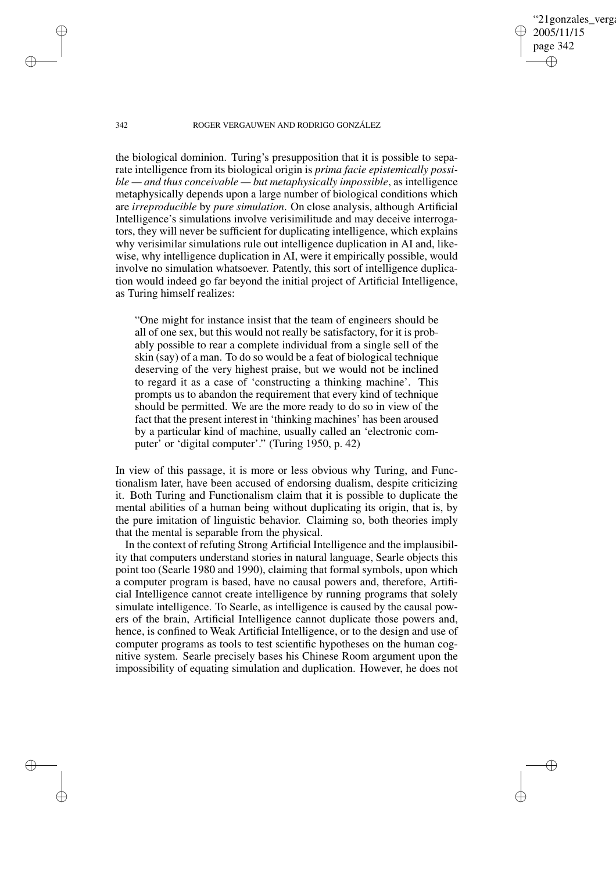'21gonzales\_verga 2005/11/15 page 342 ✐ ✐

✐

✐

## 342 ROGER VERGAUWEN AND RODRIGO GONZÁLEZ

the biological dominion. Turing's presupposition that it is possible to separate intelligence from its biological origin is *prima facie epistemically possible — and thus conceivable — but metaphysically impossible*, as intelligence metaphysically depends upon a large number of biological conditions which are *irreproducible* by *pure simulation*. On close analysis, although Artificial Intelligence's simulations involve verisimilitude and may deceive interrogators, they will never be sufficient for duplicating intelligence, which explains why verisimilar simulations rule out intelligence duplication in AI and, likewise, why intelligence duplication in AI, were it empirically possible, would involve no simulation whatsoever. Patently, this sort of intelligence duplication would indeed go far beyond the initial project of Artificial Intelligence, as Turing himself realizes:

"One might for instance insist that the team of engineers should be all of one sex, but this would not really be satisfactory, for it is probably possible to rear a complete individual from a single sell of the skin (say) of a man. To do so would be a feat of biological technique deserving of the very highest praise, but we would not be inclined to regard it as a case of 'constructing a thinking machine'. This prompts us to abandon the requirement that every kind of technique should be permitted. We are the more ready to do so in view of the fact that the present interest in 'thinking machines' has been aroused by a particular kind of machine, usually called an 'electronic computer' or 'digital computer'." (Turing 1950, p. 42)

In view of this passage, it is more or less obvious why Turing, and Functionalism later, have been accused of endorsing dualism, despite criticizing it. Both Turing and Functionalism claim that it is possible to duplicate the mental abilities of a human being without duplicating its origin, that is, by the pure imitation of linguistic behavior. Claiming so, both theories imply that the mental is separable from the physical.

In the context of refuting Strong Artificial Intelligence and the implausibility that computers understand stories in natural language, Searle objects this point too (Searle 1980 and 1990), claiming that formal symbols, upon which a computer program is based, have no causal powers and, therefore, Artificial Intelligence cannot create intelligence by running programs that solely simulate intelligence. To Searle, as intelligence is caused by the causal powers of the brain, Artificial Intelligence cannot duplicate those powers and, hence, is confined to Weak Artificial Intelligence, or to the design and use of computer programs as tools to test scientific hypotheses on the human cognitive system. Searle precisely bases his Chinese Room argument upon the impossibility of equating simulation and duplication. However, he does not

✐

✐

✐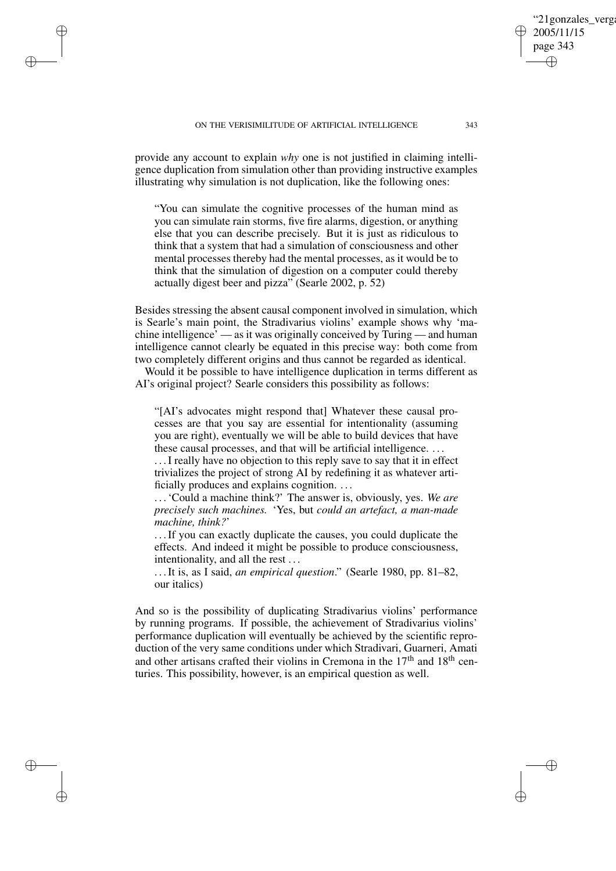✐

✐

✐

✐

provide any account to explain *why* one is not justified in claiming intelligence duplication from simulation other than providing instructive examples illustrating why simulation is not duplication, like the following ones:

"You can simulate the cognitive processes of the human mind as you can simulate rain storms, five fire alarms, digestion, or anything else that you can describe precisely. But it is just as ridiculous to think that a system that had a simulation of consciousness and other mental processes thereby had the mental processes, as it would be to think that the simulation of digestion on a computer could thereby actually digest beer and pizza" (Searle 2002, p. 52)

Besides stressing the absent causal component involved in simulation, which is Searle's main point, the Stradivarius violins' example shows why 'machine intelligence' — as it was originally conceived by Turing — and human intelligence cannot clearly be equated in this precise way: both come from two completely different origins and thus cannot be regarded as identical.

Would it be possible to have intelligence duplication in terms different as AI's original project? Searle considers this possibility as follows:

"[AI's advocates might respond that] Whatever these causal processes are that you say are essential for intentionality (assuming you are right), eventually we will be able to build devices that have these causal processes, and that will be artificial intelligence. . . .

. . .I really have no objection to this reply save to say that it in effect trivializes the project of strong AI by redefining it as whatever artificially produces and explains cognition. . . .

. . .'Could a machine think?' The answer is, obviously, yes. *We are precisely such machines.* 'Yes, but *could an artefact, a man-made machine, think?*'

. . .If you can exactly duplicate the causes, you could duplicate the effects. And indeed it might be possible to produce consciousness, intentionality, and all the rest . . .

. . .It is, as I said, *an empirical question*." (Searle 1980, pp. 81–82, our italics)

And so is the possibility of duplicating Stradivarius violins' performance by running programs. If possible, the achievement of Stradivarius violins' performance duplication will eventually be achieved by the scientific reproduction of the very same conditions under which Stradivari, Guarneri, Amati and other artisans crafted their violins in Cremona in the  $17<sup>th</sup>$  and  $18<sup>th</sup>$  centuries. This possibility, however, is an empirical question as well.

'21gonzales\_verga

2005/11/15 page 343

✐

✐

✐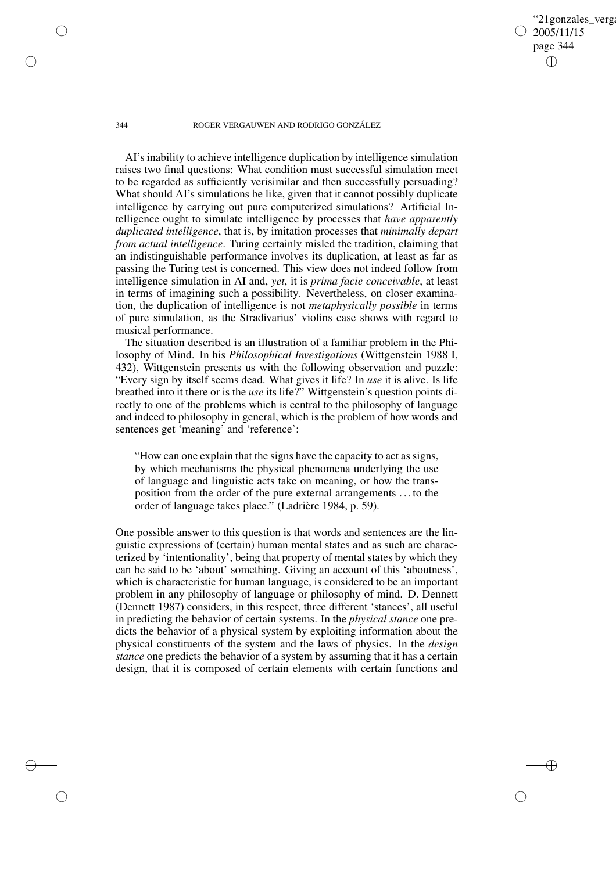'21gonzales verga 2005/11/15 page 344 ✐ ✐

✐

✐

### 344 ROGER VERGAUWEN AND RODRIGO GONZÁLEZ

AI's inability to achieve intelligence duplication by intelligence simulation raises two final questions: What condition must successful simulation meet to be regarded as sufficiently verisimilar and then successfully persuading? What should AI's simulations be like, given that it cannot possibly duplicate intelligence by carrying out pure computerized simulations? Artificial Intelligence ought to simulate intelligence by processes that *have apparently duplicated intelligence*, that is, by imitation processes that *minimally depart from actual intelligence*. Turing certainly misled the tradition, claiming that an indistinguishable performance involves its duplication, at least as far as passing the Turing test is concerned. This view does not indeed follow from intelligence simulation in AI and, *yet*, it is *prima facie conceivable*, at least in terms of imagining such a possibility. Nevertheless, on closer examination, the duplication of intelligence is not *metaphysically possible* in terms of pure simulation, as the Stradivarius' violins case shows with regard to musical performance.

The situation described is an illustration of a familiar problem in the Philosophy of Mind. In his *Philosophical Investigations* (Wittgenstein 1988 I, 432), Wittgenstein presents us with the following observation and puzzle: "Every sign by itself seems dead. What gives it life? In *use* it is alive. Is life breathed into it there or is the *use* its life?" Wittgenstein's question points directly to one of the problems which is central to the philosophy of language and indeed to philosophy in general, which is the problem of how words and sentences get 'meaning' and 'reference':

"How can one explain that the signs have the capacity to act as signs, by which mechanisms the physical phenomena underlying the use of language and linguistic acts take on meaning, or how the transposition from the order of the pure external arrangements . . . to the order of language takes place." (Ladrière 1984, p. 59).

One possible answer to this question is that words and sentences are the linguistic expressions of (certain) human mental states and as such are characterized by 'intentionality', being that property of mental states by which they can be said to be 'about' something. Giving an account of this 'aboutness', which is characteristic for human language, is considered to be an important problem in any philosophy of language or philosophy of mind. D. Dennett (Dennett 1987) considers, in this respect, three different 'stances', all useful in predicting the behavior of certain systems. In the *physical stance* one predicts the behavior of a physical system by exploiting information about the physical constituents of the system and the laws of physics. In the *design stance* one predicts the behavior of a system by assuming that it has a certain design, that it is composed of certain elements with certain functions and

✐

✐

✐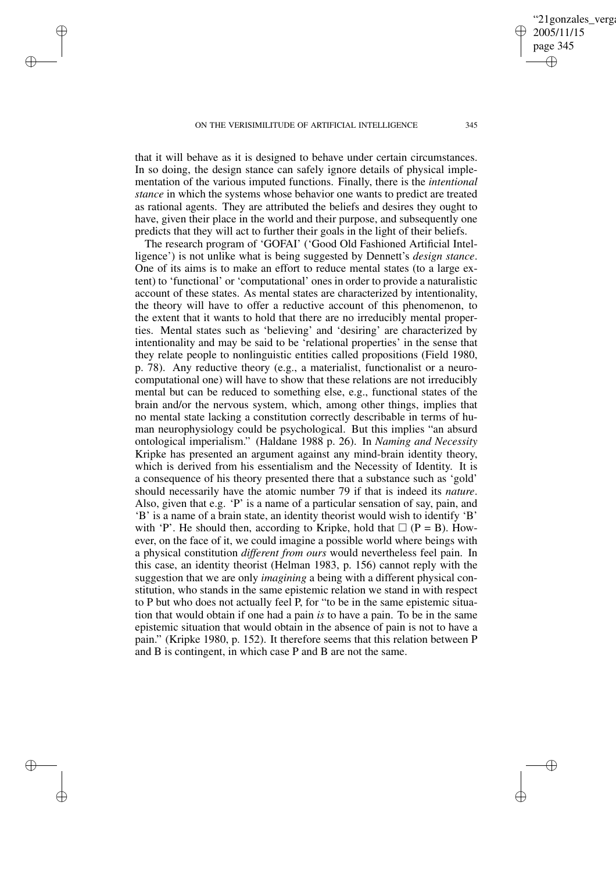✐

✐

✐

✐

that it will behave as it is designed to behave under certain circumstances. In so doing, the design stance can safely ignore details of physical implementation of the various imputed functions. Finally, there is the *intentional stance* in which the systems whose behavior one wants to predict are treated as rational agents. They are attributed the beliefs and desires they ought to have, given their place in the world and their purpose, and subsequently one predicts that they will act to further their goals in the light of their beliefs.

The research program of 'GOFAI' ('Good Old Fashioned Artificial Intelligence') is not unlike what is being suggested by Dennett's *design stance*. One of its aims is to make an effort to reduce mental states (to a large extent) to 'functional' or 'computational' ones in order to provide a naturalistic account of these states. As mental states are characterized by intentionality, the theory will have to offer a reductive account of this phenomenon, to the extent that it wants to hold that there are no irreducibly mental properties. Mental states such as 'believing' and 'desiring' are characterized by intentionality and may be said to be 'relational properties' in the sense that they relate people to nonlinguistic entities called propositions (Field 1980, p. 78). Any reductive theory (e.g., a materialist, functionalist or a neurocomputational one) will have to show that these relations are not irreducibly mental but can be reduced to something else, e.g., functional states of the brain and/or the nervous system, which, among other things, implies that no mental state lacking a constitution correctly describable in terms of human neurophysiology could be psychological. But this implies "an absurd ontological imperialism." (Haldane 1988 p. 26). In *Naming and Necessity* Kripke has presented an argument against any mind-brain identity theory, which is derived from his essentialism and the Necessity of Identity. It is a consequence of his theory presented there that a substance such as 'gold' should necessarily have the atomic number 79 if that is indeed its *nature*. Also, given that e.g. 'P' is a name of a particular sensation of say, pain, and 'B' is a name of a brain state, an identity theorist would wish to identify 'B' with 'P'. He should then, according to Kripke, hold that  $\Box$  (P = B). However, on the face of it, we could imagine a possible world where beings with a physical constitution *different from ours* would nevertheless feel pain. In this case, an identity theorist (Helman 1983, p. 156) cannot reply with the suggestion that we are only *imagining* a being with a different physical constitution, who stands in the same epistemic relation we stand in with respect to P but who does not actually feel P, for "to be in the same epistemic situation that would obtain if one had a pain *is* to have a pain. To be in the same epistemic situation that would obtain in the absence of pain is not to have a pain." (Kripke 1980, p. 152). It therefore seems that this relation between P and B is contingent, in which case P and B are not the same.

✐

✐

'21gonzales\_verga

2005/11/15 page 345

✐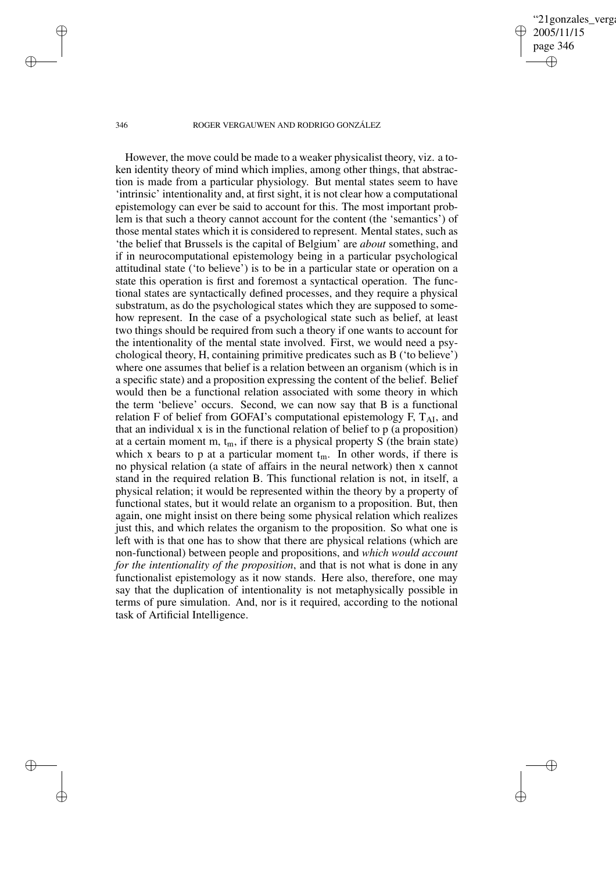## '21gonzales\_verga 2005/11/15 page 346 ✐ ✐

✐

✐

### 346 ROGER VERGAUWEN AND RODRIGO GONZÁLEZ

✐

✐

✐

✐

However, the move could be made to a weaker physicalist theory, viz. a token identity theory of mind which implies, among other things, that abstraction is made from a particular physiology. But mental states seem to have 'intrinsic' intentionality and, at first sight, it is not clear how a computational epistemology can ever be said to account for this. The most important problem is that such a theory cannot account for the content (the 'semantics') of those mental states which it is considered to represent. Mental states, such as 'the belief that Brussels is the capital of Belgium' are *about* something, and if in neurocomputational epistemology being in a particular psychological attitudinal state ('to believe') is to be in a particular state or operation on a state this operation is first and foremost a syntactical operation. The functional states are syntactically defined processes, and they require a physical substratum, as do the psychological states which they are supposed to somehow represent. In the case of a psychological state such as belief, at least two things should be required from such a theory if one wants to account for the intentionality of the mental state involved. First, we would need a psychological theory, H, containing primitive predicates such as B ('to believe') where one assumes that belief is a relation between an organism (which is in a specific state) and a proposition expressing the content of the belief. Belief would then be a functional relation associated with some theory in which the term 'believe' occurs. Second, we can now say that B is a functional relation F of belief from GOFAI's computational epistemology F,  $T_{AI}$ , and that an individual x is in the functional relation of belief to p (a proposition) at a certain moment m,  $t_m$ , if there is a physical property S (the brain state) which x bears to p at a particular moment  $t_m$ . In other words, if there is no physical relation (a state of affairs in the neural network) then x cannot stand in the required relation B. This functional relation is not, in itself, a physical relation; it would be represented within the theory by a property of functional states, but it would relate an organism to a proposition. But, then again, one might insist on there being some physical relation which realizes just this, and which relates the organism to the proposition. So what one is left with is that one has to show that there are physical relations (which are non-functional) between people and propositions, and *which would account for the intentionality of the proposition*, and that is not what is done in any functionalist epistemology as it now stands. Here also, therefore, one may say that the duplication of intentionality is not metaphysically possible in terms of pure simulation. And, nor is it required, according to the notional task of Artificial Intelligence.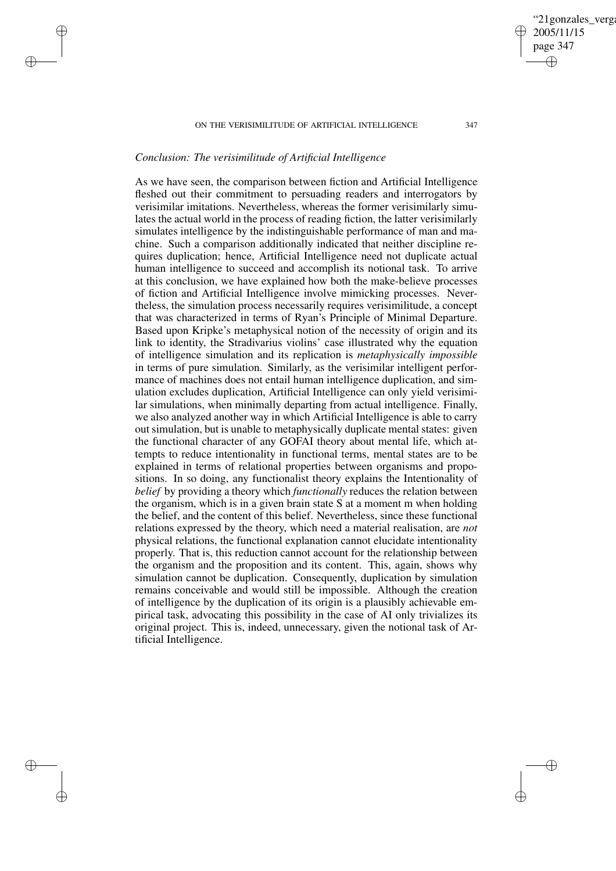# *Conclusion: The verisimilitude of Artificial Intelligence*

✐

✐

✐

✐

As we have seen, the comparison between fiction and Artificial Intelligence fleshed out their commitment to persuading readers and interrogators by verisimilar imitations. Nevertheless, whereas the former verisimilarly simulates the actual world in the process of reading fiction, the latter verisimilarly simulates intelligence by the indistinguishable performance of man and machine. Such a comparison additionally indicated that neither discipline requires duplication; hence, Artificial Intelligence need not duplicate actual human intelligence to succeed and accomplish its notional task. To arrive at this conclusion, we have explained how both the make-believe processes of fiction and Artificial Intelligence involve mimicking processes. Nevertheless, the simulation process necessarily requires verisimilitude, a concept that was characterized in terms of Ryan's Principle of Minimal Departure. Based upon Kripke's metaphysical notion of the necessity of origin and its link to identity, the Stradivarius violins' case illustrated why the equation of intelligence simulation and its replication is *metaphysically impossible* in terms of pure simulation. Similarly, as the verisimilar intelligent performance of machines does not entail human intelligence duplication, and simulation excludes duplication, Artificial Intelligence can only yield verisimilar simulations, when minimally departing from actual intelligence. Finally, we also analyzed another way in which Artificial Intelligence is able to carry out simulation, but is unable to metaphysically duplicate mental states: given the functional character of any GOFAI theory about mental life, which attempts to reduce intentionality in functional terms, mental states are to be explained in terms of relational properties between organisms and propositions. In so doing, any functionalist theory explains the Intentionality of *belief* by providing a theory which *functionally* reduces the relation between the organism, which is in a given brain state S at a moment m when holding the belief, and the content of this belief. Nevertheless, since these functional relations expressed by the theory, which need a material realisation, are *not* physical relations, the functional explanation cannot elucidate intentionality properly. That is, this reduction cannot account for the relationship between the organism and the proposition and its content. This, again, shows why simulation cannot be duplication. Consequently, duplication by simulation remains conceivable and would still be impossible. Although the creation of intelligence by the duplication of its origin is a plausibly achievable empirical task, advocating this possibility in the case of AI only trivializes its original project. This is, indeed, unnecessary, given the notional task of Artificial Intelligence.

'21gonzales\_verga

2005/11/15 page 347

✐

✐

✐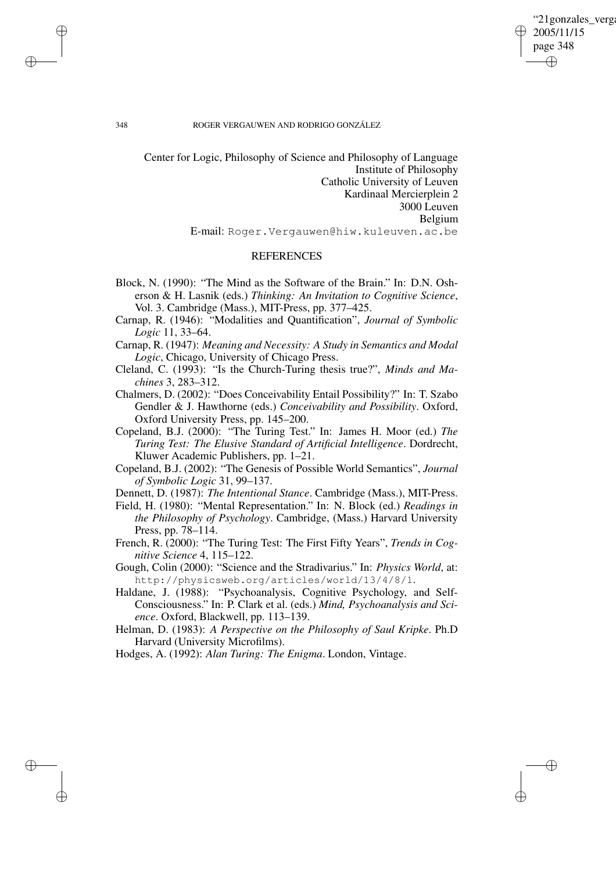"21gonzales\_verga 2005/11/15 page 348 ✐ ✐

✐

✐

## 348 ROGER VERGAUWEN AND RODRIGO GONZÁLEZ

Center for Logic, Philosophy of Science and Philosophy of Language Institute of Philosophy Catholic University of Leuven Kardinaal Mercierplein 2 3000 Leuven Belgium E-mail: Roger.Vergauwen@hiw.kuleuven.ac.be

# **REFERENCES**

- Block, N. (1990): "The Mind as the Software of the Brain." In: D.N. Osherson & H. Lasnik (eds.) *Thinking: An Invitation to Cognitive Science*, Vol. 3. Cambridge (Mass.), MIT-Press, pp. 377–425.
- Carnap, R. (1946): "Modalities and Quantification", *Journal of Symbolic Logic* 11, 33–64.
- Carnap, R. (1947): *Meaning and Necessity: A Study in Semantics and Modal Logic*, Chicago, University of Chicago Press.
- Cleland, C. (1993): "Is the Church-Turing thesis true?", *Minds and Machines* 3, 283–312.
- Chalmers, D. (2002): "Does Conceivability Entail Possibility?" In: T. Szabo Gendler & J. Hawthorne (eds.) *Conceivability and Possibility*. Oxford, Oxford University Press, pp. 145–200.
- Copeland, B.J. (2000): "The Turing Test." In: James H. Moor (ed.) *The Turing Test: The Elusive Standard of Artificial Intelligence*. Dordrecht, Kluwer Academic Publishers, pp. 1–21.
- Copeland, B.J. (2002): "The Genesis of Possible World Semantics", *Journal of Symbolic Logic* 31, 99–137.
- Dennett, D. (1987): *The Intentional Stance*. Cambridge (Mass.), MIT-Press.
- Field, H. (1980): "Mental Representation." In: N. Block (ed.) *Readings in the Philosophy of Psychology*. Cambridge, (Mass.) Harvard University Press, pp. 78–114.
- French, R. (2000): "The Turing Test: The First Fifty Years", *Trends in Cognitive Science* 4, 115–122.
- Gough, Colin (2000): "Science and the Stradivarius." In: *Physics World*, at: http://physicsweb.org/articles/world/13/4/8/1.
- Haldane, J. (1988): "Psychoanalysis, Cognitive Psychology, and Self-Consciousness." In: P. Clark et al. (eds.) *Mind, Psychoanalysis and Science*. Oxford, Blackwell, pp. 113–139.
- Helman, D. (1983): *A Perspective on the Philosophy of Saul Kripke*. Ph.D Harvard (University Microfilms).
- Hodges, A. (1992): *Alan Turing: The Enigma*. London, Vintage.

✐

✐

✐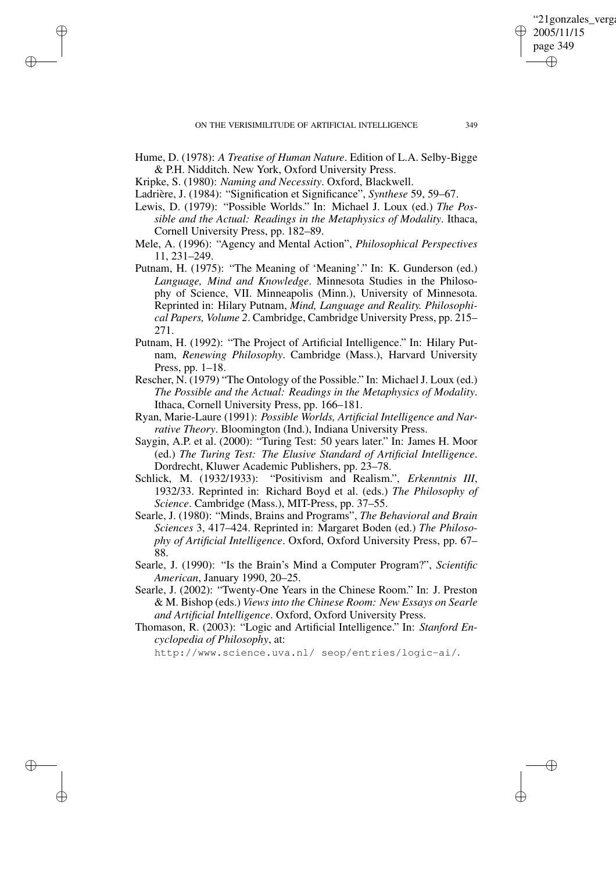- Hume, D. (1978): *A Treatise of Human Nature*. Edition of L.A. Selby-Bigge & P.H. Nidditch. New York, Oxford University Press.
- Kripke, S. (1980): *Naming and Necessity*. Oxford, Blackwell.

✐

✐

✐

✐

- Ladrière, J. (1984): "Signification et Significance", *Synthese* 59, 59–67.
- Lewis, D. (1979): "Possible Worlds." In: Michael J. Loux (ed.) *The Possible and the Actual: Readings in the Metaphysics of Modality*. Ithaca, Cornell University Press, pp. 182–89.
- Mele, A. (1996): "Agency and Mental Action", *Philosophical Perspectives* 11, 231–249.
- Putnam, H. (1975): "The Meaning of 'Meaning'." In: K. Gunderson (ed.) *Language, Mind and Knowledge*. Minnesota Studies in the Philosophy of Science, VII. Minneapolis (Minn.), University of Minnesota. Reprinted in: Hilary Putnam, *Mind, Language and Reality. Philosophical Papers, Volume 2*. Cambridge, Cambridge University Press, pp. 215– 271.
- Putnam, H. (1992): "The Project of Artificial Intelligence." In: Hilary Putnam, *Renewing Philosophy*. Cambridge (Mass.), Harvard University Press, pp. 1–18.
- Rescher, N. (1979) "The Ontology of the Possible." In: Michael J. Loux (ed.) *The Possible and the Actual: Readings in the Metaphysics of Modality*. Ithaca, Cornell University Press, pp. 166–181.
- Ryan, Marie-Laure (1991): *Possible Worlds, Artificial Intelligence and Narrative Theory*. Bloomington (Ind.), Indiana University Press.
- Saygin, A.P. et al. (2000): "Turing Test: 50 years later." In: James H. Moor (ed.) *The Turing Test: The Elusive Standard of Artificial Intelligence*. Dordrecht, Kluwer Academic Publishers, pp. 23–78.
- Schlick, M. (1932/1933): "Positivism and Realism.", *Erkenntnis III*, 1932/33. Reprinted in: Richard Boyd et al. (eds.) *The Philosophy of Science*. Cambridge (Mass.), MIT-Press, pp. 37–55.
- Searle, J. (1980): "Minds, Brains and Programs", *The Behavioral and Brain Sciences* 3, 417–424. Reprinted in: Margaret Boden (ed.) *The Philosophy of Artificial Intelligence*. Oxford, Oxford University Press, pp. 67– 88.
- Searle, J. (1990): "Is the Brain's Mind a Computer Program?", *Scientific American*, January 1990, 20–25.
- Searle, J. (2002): "Twenty-One Years in the Chinese Room." In: J. Preston & M. Bishop (eds.) *Views into the Chinese Room: New Essays on Searle and Artificial Intelligence*. Oxford, Oxford University Press.
- Thomason, R. (2003): "Logic and Artificial Intelligence." In: *Stanford Encyclopedia of Philosophy*, at:

http://www.science.uva.nl/ seop/entries/logic-ai/.

"21 gonzales verga

2005/11/15 page 349

✐

✐

✐